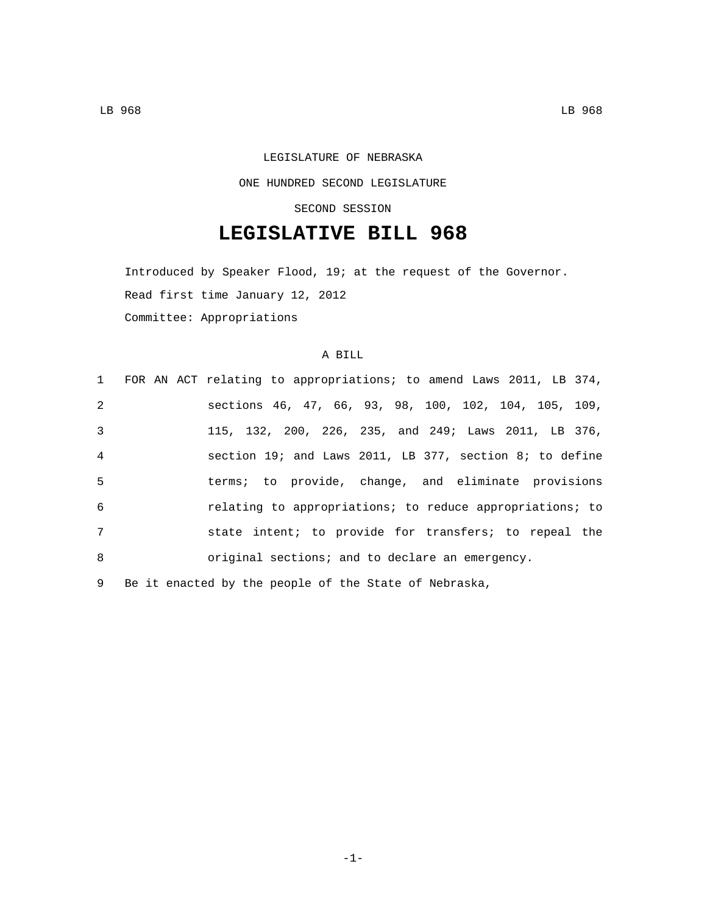# LEGISLATURE OF NEBRASKA ONE HUNDRED SECOND LEGISLATURE

### SECOND SESSION

## **LEGISLATIVE BILL 968**

Introduced by Speaker Flood, 19; at the request of the Governor. Read first time January 12, 2012 Committee: Appropriations

### A BILL

|                | 1 FOR AN ACT relating to appropriations; to amend Laws 2011, LB 374, |
|----------------|----------------------------------------------------------------------|
| 2              | sections 46, 47, 66, 93, 98, 100, 102, 104, 105, 109,                |
| 3              | 115, 132, 200, 226, 235, and 249; Laws 2011, LB 376,                 |
| $\overline{4}$ | section 19; and Laws 2011, LB 377, section 8; to define              |
| -5             | terms; to provide, change, and eliminate provisions                  |
| 6              | relating to appropriations; to reduce appropriations; to             |
| 7              | state intent; to provide for transfers; to repeal the                |
| 8              | original sections; and to declare an emergency.                      |
|                |                                                                      |

9 Be it enacted by the people of the State of Nebraska,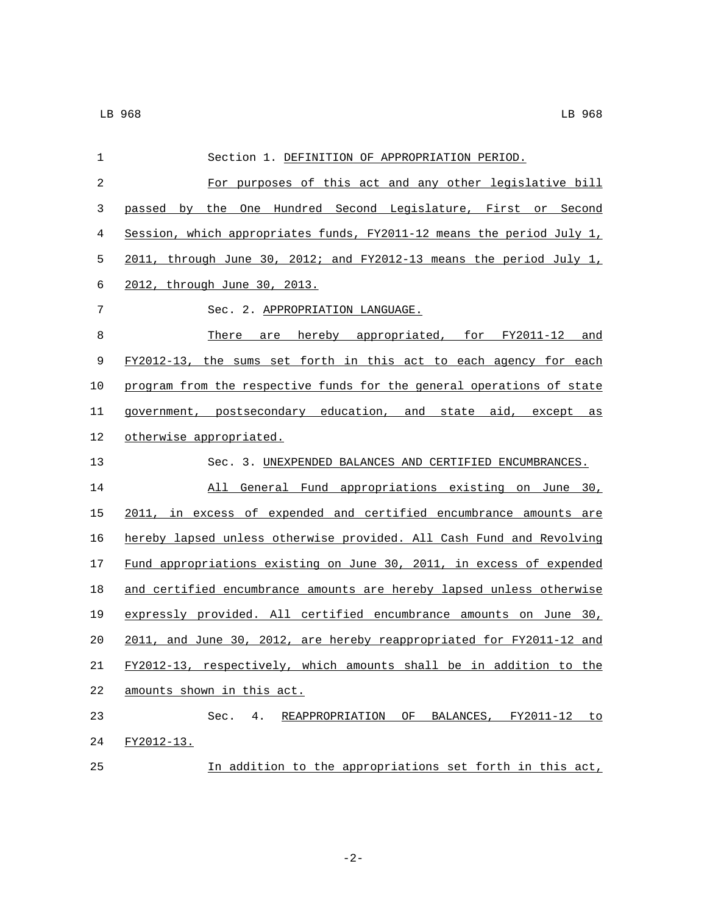| 1              | Section 1. DEFINITION OF APPROPRIATION PERIOD.                        |
|----------------|-----------------------------------------------------------------------|
| $\overline{c}$ | For purposes of this act and any other legislative bill               |
| 3              | passed by the One Hundred Second Legislature, First or Second         |
| 4              | Session, which appropriates funds, FY2011-12 means the period July 1, |
| 5              | 2011, through June 30, 2012; and FY2012-13 means the period July $1L$ |
| 6              | 2012, through June 30, 2013.                                          |
| 7              | Sec. 2. APPROPRIATION LANGUAGE.                                       |
| 8              | There are hereby appropriated, for FY2011-12 and                      |
| 9              | FY2012-13, the sums set forth in this act to each agency for each     |
| 10             | program from the respective funds for the general operations of state |
| 11             | government, postsecondary education, and state aid, except as         |
| 12             | otherwise appropriated.                                               |
| 13             | Sec. 3. UNEXPENDED BALANCES AND CERTIFIED ENCUMBRANCES.               |
| 14             | General Fund appropriations existing on June 30,<br>All               |
| 15             | 2011, in excess of expended and certified encumbrance amounts are     |
| 16             | hereby lapsed unless otherwise provided. All Cash Fund and Revolving  |
| 17             | Fund appropriations existing on June 30, 2011, in excess of expended  |
| 18             | and certified encumbrance amounts are hereby lapsed unless otherwise  |
| 19             | expressly provided. All certified encumbrance amounts on June 30,     |
| 20             | 2011, and June 30, 2012, are hereby reappropriated for FY2011-12 and  |
| 21             | FY2012-13, respectively, which amounts shall be in addition to the    |
| 22             | amounts shown in this act.                                            |
| 23             | Sec.<br>4.<br>REAPPROPRIATION OF<br>BALANCES, FY2011-12 to            |
| 24             | FY2012-13.                                                            |
| 25             | In addition to the appropriations set forth in this act,              |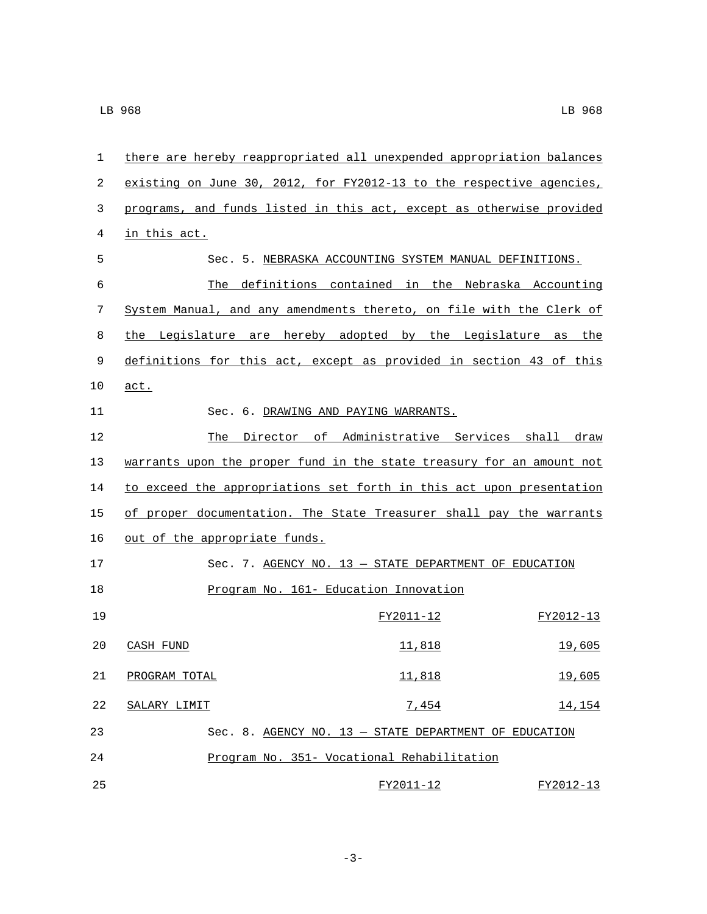| 1  | there are hereby reappropriated all unexpended appropriation balances |  |                                                          |               |           |        |
|----|-----------------------------------------------------------------------|--|----------------------------------------------------------|---------------|-----------|--------|
| 2  | existing on June 30, 2012, for FY2012-13 to the respective agencies,  |  |                                                          |               |           |        |
| 3  | programs, and funds listed in this act, except as otherwise provided  |  |                                                          |               |           |        |
| 4  | in this act.                                                          |  |                                                          |               |           |        |
| 5  |                                                                       |  | Sec. 5. NEBRASKA ACCOUNTING SYSTEM MANUAL DEFINITIONS.   |               |           |        |
| 6  |                                                                       |  | The definitions contained in the Nebraska Accounting     |               |           |        |
| 7  | System Manual, and any amendments thereto, on file with the Clerk of  |  |                                                          |               |           |        |
| 8  | the                                                                   |  | Legislature are hereby adopted by the Legislature as the |               |           |        |
| 9  | definitions for this act, except as provided in section 43 of this    |  |                                                          |               |           |        |
| 10 | act.                                                                  |  |                                                          |               |           |        |
| 11 |                                                                       |  | Sec. 6. DRAWING AND PAYING WARRANTS.                     |               |           |        |
| 12 |                                                                       |  | The Director of Administrative Services shall draw       |               |           |        |
| 13 | warrants upon the proper fund in the state treasury for an amount not |  |                                                          |               |           |        |
| 14 | to exceed the appropriations set forth in this act upon presentation  |  |                                                          |               |           |        |
| 15 | of proper documentation. The State Treasurer shall pay the warrants   |  |                                                          |               |           |        |
| 16 | out of the appropriate funds.                                         |  |                                                          |               |           |        |
| 17 |                                                                       |  | Sec. 7. AGENCY NO. $13$ - STATE DEPARTMENT OF EDUCATION  |               |           |        |
| 18 |                                                                       |  | Program No. 161- Education Innovation                    |               |           |        |
| 19 |                                                                       |  |                                                          | FY2011-12     | FY2012-13 |        |
| 20 | CASH FUND                                                             |  |                                                          | <u>11,818</u> |           | 19,605 |
| 21 | PROGRAM TOTAL                                                         |  |                                                          | 11,818        |           | 19,605 |
| 22 | SALARY LIMIT                                                          |  |                                                          | 7,454         |           | 14,154 |
| 23 |                                                                       |  | Sec. 8. AGENCY NO. 13 - STATE DEPARTMENT OF EDUCATION    |               |           |        |
| 24 |                                                                       |  | Program No. 351- Vocational Rehabilitation               |               |           |        |
| 25 |                                                                       |  |                                                          | FY2011-12     | FY2012-13 |        |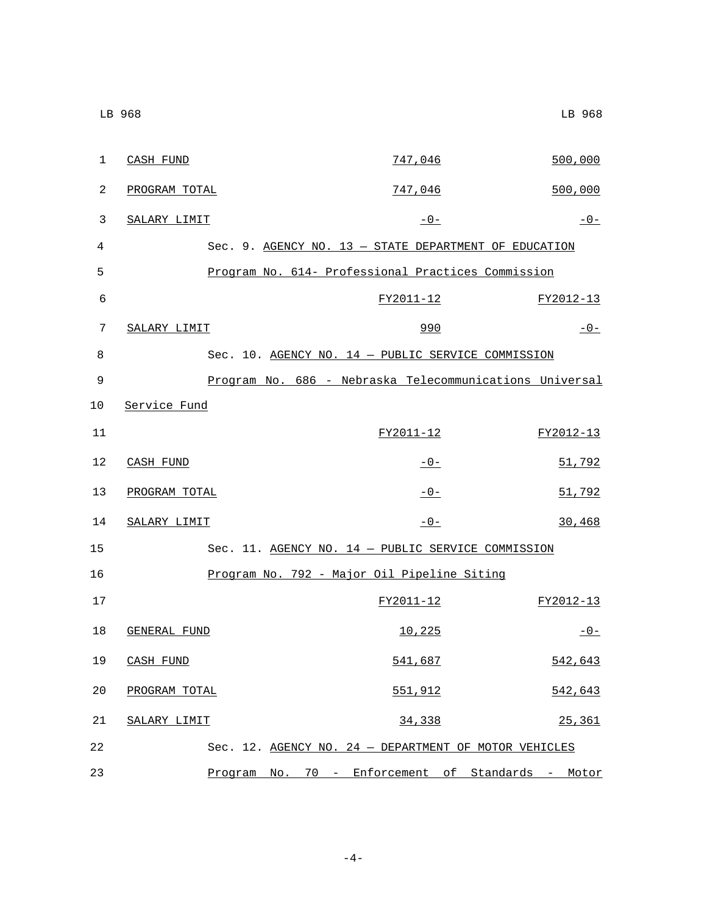| 1  | CASH FUND     | 747,046                                                 | 500,000   |
|----|---------------|---------------------------------------------------------|-----------|
| 2  | PROGRAM TOTAL | 747,046                                                 | 500,000   |
| 3  | SALARY LIMIT  | $-0-$                                                   | $-0-$     |
| 4  |               | Sec. 9. AGENCY NO. 13 - STATE DEPARTMENT OF EDUCATION   |           |
| 5  |               | Program No. 614- Professional Practices Commission      |           |
| 6  |               | FY2011-12                                               | FY2012-13 |
| 7  | SALARY LIMIT  | 990                                                     | $-0-$     |
| 8  |               | Sec. 10. AGENCY NO. 14 - PUBLIC SERVICE COMMISSION      |           |
| 9  |               | Program No. 686 - Nebraska Telecommunications Universal |           |
| 10 | Service Fund  |                                                         |           |
| 11 |               | FY2011-12                                               | FY2012-13 |
| 12 | CASH FUND     | $-0-$                                                   | 51,792    |
| 13 | PROGRAM TOTAL | $-0-$                                                   | 51,792    |
| 14 | SALARY LIMIT  | $-0-$                                                   | 30,468    |
| 15 |               | Sec. 11. AGENCY NO. 14 - PUBLIC SERVICE COMMISSION      |           |
| 16 |               | Program No. 792 - Major Oil Pipeline Siting             |           |
| 17 |               | FY2011-12                                               | FY2012-13 |
| 18 | GENERAL FUND  | 10,225                                                  | $-0-$     |
| 19 | CASH FUND     | 541,687                                                 | 542,643   |
| 20 | PROGRAM TOTAL | 551,912                                                 | 542,643   |
| 21 | SALARY LIMIT  | 34,338                                                  | 25,361    |
| 22 |               | Sec. 12. AGENCY NO. 24 - DEPARTMENT OF MOTOR VEHICLES   |           |
| 23 |               | Program No. 70 - Enforcement of Standards - Motor       |           |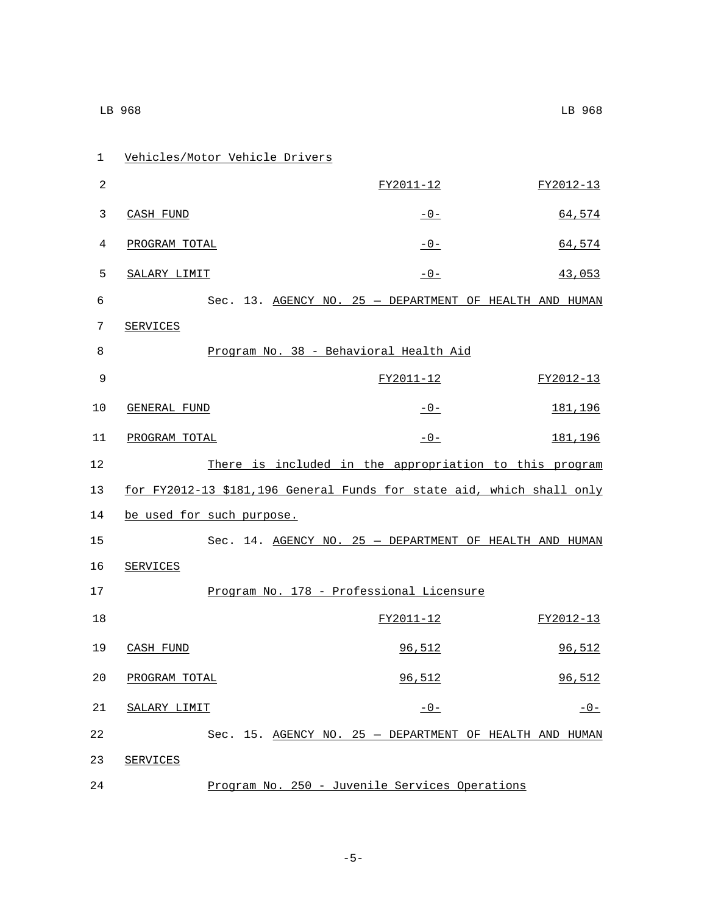| $\mathbf 1$ |                 | Vehicles/Motor Vehicle Drivers |                                                                       |           |
|-------------|-----------------|--------------------------------|-----------------------------------------------------------------------|-----------|
| 2           |                 |                                | FY2011-12                                                             | FY2012-13 |
| 3           | CASH FUND       |                                | $-0-$                                                                 | 64,574    |
| 4           | PROGRAM TOTAL   |                                | $-0-$                                                                 | 64,574    |
| 5           | SALARY LIMIT    |                                | $-0-$                                                                 | 43,053    |
| 6           |                 |                                | Sec. 13. AGENCY NO. 25 - DEPARTMENT OF HEALTH AND HUMAN               |           |
| 7           | SERVICES        |                                |                                                                       |           |
| 8           |                 |                                | Program No. 38 - Behavioral Health Aid                                |           |
| 9           |                 |                                | FY2011-12                                                             | FY2012-13 |
| 10          | GENERAL FUND    |                                | $-0-$                                                                 | 181,196   |
| 11          | PROGRAM TOTAL   |                                | $-0-$                                                                 | 181,196   |
| 12          |                 |                                | There is included in the appropriation to this program                |           |
| 13          |                 |                                | for FY2012-13 \$181,196 General Funds for state aid, which shall only |           |
| 14          |                 | be used for such purpose.      |                                                                       |           |
| 15          |                 |                                | Sec. 14. AGENCY NO. 25 - DEPARTMENT OF HEALTH AND HUMAN               |           |
| 16          | <b>SERVICES</b> |                                |                                                                       |           |
| 17          |                 |                                | Program No. 178 - Professional Licensure                              |           |
| 18          |                 |                                | FY2011-12                                                             | FY2012-13 |
| 19          | CASH FUND       |                                | 96,512                                                                | 96,512    |
| 20          | PROGRAM TOTAL   |                                | 96,512                                                                | 96,512    |
| 21          | SALARY LIMIT    |                                | $-0-$                                                                 | $-0-$     |
| 22          |                 |                                | Sec. 15. AGENCY NO. 25 - DEPARTMENT OF HEALTH AND HUMAN               |           |
| 23          | SERVICES        |                                |                                                                       |           |
| 24          |                 |                                | Program No. 250 - Juvenile Services Operations                        |           |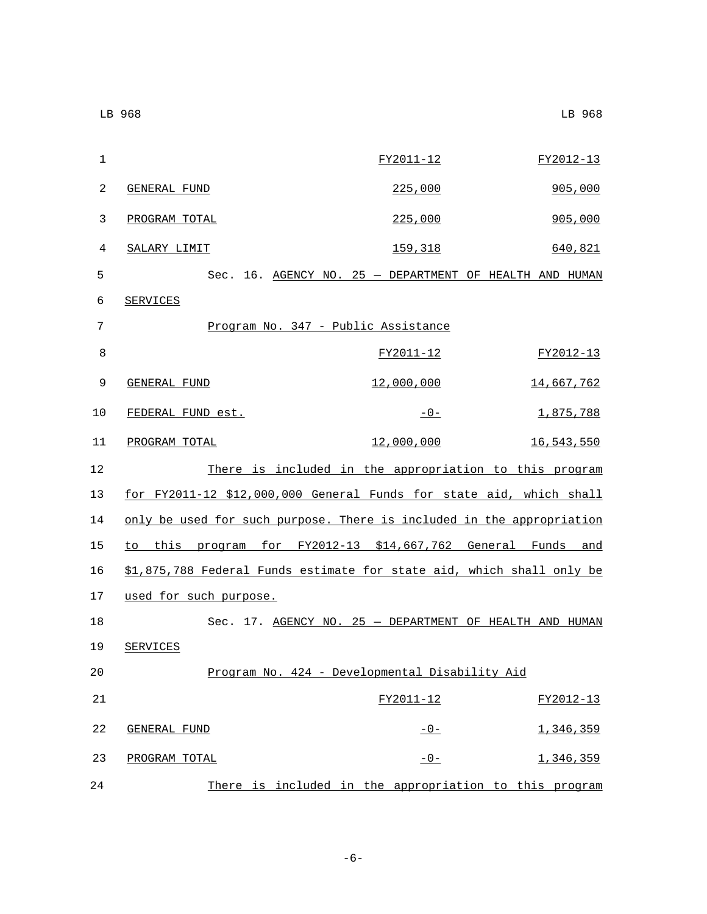| 1            |                                                                       | FY2011-12                                               | FY2012-13         |
|--------------|-----------------------------------------------------------------------|---------------------------------------------------------|-------------------|
| $\mathbf{2}$ | GENERAL FUND                                                          | 225,000                                                 | 905,000           |
| 3            | PROGRAM TOTAL                                                         | <u>225,000</u>                                          | 905,000           |
| 4            | SALARY LIMIT                                                          | 159,318                                                 | 640,821           |
| 5            |                                                                       | Sec. 16. AGENCY NO. 25 - DEPARTMENT OF HEALTH AND HUMAN |                   |
| 6            | <b>SERVICES</b>                                                       |                                                         |                   |
| 7            |                                                                       | Program No. 347 - Public Assistance                     |                   |
| 8            |                                                                       | FY2011-12                                               | FY2012-13         |
| 9            | GENERAL FUND                                                          | 12,000,000                                              | <u>14,667,762</u> |
| 10           | FEDERAL FUND est.                                                     | $-0-$                                                   | 1,875,788         |
| 11           | PROGRAM TOTAL                                                         | 12,000,000                                              | <u>16,543,550</u> |
| 12           |                                                                       | There is included in the appropriation to this program  |                   |
| 13           | for FY2011-12 \$12,000,000 General Funds for state aid, which shall   |                                                         |                   |
| 14           | only be used for such purpose. There is included in the appropriation |                                                         |                   |
| 15           | to this program for FY2012-13 \$14,667,762 General Funds and          |                                                         |                   |
| 16           | \$1,875,788 Federal Funds estimate for state aid, which shall only be |                                                         |                   |
| 17           | used for such purpose.                                                |                                                         |                   |
| 18           |                                                                       | Sec. 17. AGENCY NO. 25 - DEPARTMENT OF HEALTH AND HUMAN |                   |
| 19           | SERVICES                                                              |                                                         |                   |
| 20           |                                                                       | Program No. 424 - Developmental Disability Aid          |                   |
| 21           |                                                                       | FY2011-12                                               | FY2012-13         |
| 22           | <b>GENERAL FUND</b>                                                   | $-0-$                                                   | 1,346,359         |
| 23           | PROGRAM TOTAL                                                         | $-0-$                                                   | 1,346,359         |
| 24           |                                                                       | There is included in the appropriation to this program  |                   |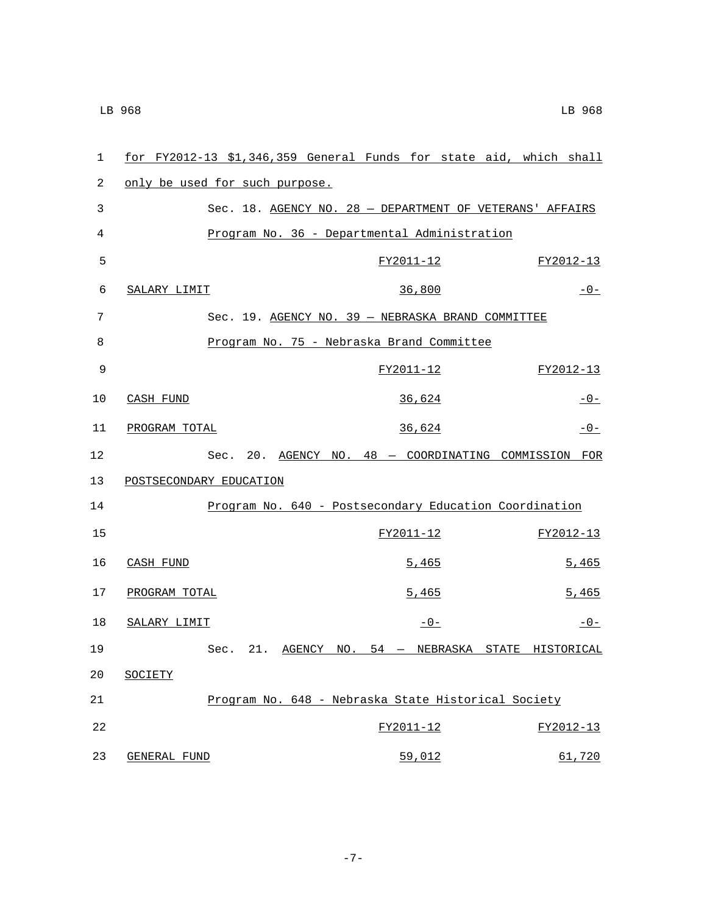| $\mathbf{1}$ |                                | for FY2012-13 \$1,346,359 General Funds for state aid, which shall |           |       |  |           |
|--------------|--------------------------------|--------------------------------------------------------------------|-----------|-------|--|-----------|
| 2            | only be used for such purpose. |                                                                    |           |       |  |           |
| 3            |                                | Sec. 18. AGENCY NO. 28 - DEPARTMENT OF VETERANS' AFFAIRS           |           |       |  |           |
| 4            |                                | Program No. 36 - Departmental Administration                       |           |       |  |           |
| 5            |                                |                                                                    | FY2011-12 |       |  | FY2012-13 |
| 6            | SALARY LIMIT                   |                                                                    | 36,800    |       |  | $-0-$     |
| 7            |                                | Sec. 19. AGENCY NO. 39 - NEBRASKA BRAND COMMITTEE                  |           |       |  |           |
| 8            |                                | Program No. 75 - Nebraska Brand Committee                          |           |       |  |           |
| 9            |                                |                                                                    | FY2011-12 |       |  | FY2012-13 |
| 10           | CASH FUND                      |                                                                    | 36,624    |       |  | $-0-$     |
| 11           | PROGRAM TOTAL                  |                                                                    | 36,624    |       |  | $-0-$     |
| 12           |                                | Sec. 20. AGENCY NO. 48 - COORDINATING COMMISSION FOR               |           |       |  |           |
| 13           | POSTSECONDARY EDUCATION        |                                                                    |           |       |  |           |
| 14           |                                | Program No. 640 - Postsecondary Education Coordination             |           |       |  |           |
| 15           |                                |                                                                    | FY2011-12 |       |  | FY2012-13 |
| 16           | CASH FUND                      |                                                                    |           | 5,465 |  | 5,465     |
| 17           | PROGRAM TOTAL                  |                                                                    |           | 5,465 |  | 5,465     |
| 18           | SALARY LIMIT                   |                                                                    |           | $-0-$ |  | $-0-$     |
| 19           |                                | Sec. 21. AGENCY NO. 54 - NEBRASKA STATE HISTORICAL                 |           |       |  |           |
| 20           | SOCIETY                        |                                                                    |           |       |  |           |
| 21           |                                | Program No. 648 - Nebraska State Historical Society                |           |       |  |           |
| 22           |                                |                                                                    | FY2011-12 |       |  | FY2012-13 |
| 23           | <b>GENERAL FUND</b>            |                                                                    | 59,012    |       |  | 61,720    |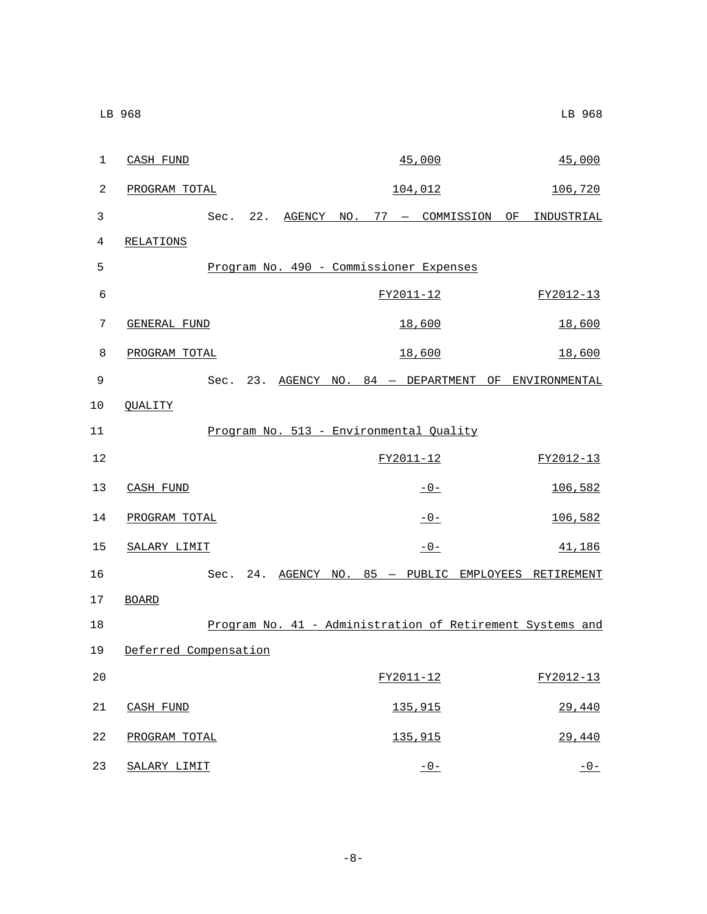| 1  | CASH FUND             |  |  | 45,000                                  |  | 45,000                                                    |
|----|-----------------------|--|--|-----------------------------------------|--|-----------------------------------------------------------|
| 2  | PROGRAM TOTAL         |  |  | 104,012                                 |  | 106,720                                                   |
| 3  |                       |  |  |                                         |  | Sec. 22. AGENCY NO. 77 - COMMISSION OF INDUSTRIAL         |
| 4  | RELATIONS             |  |  |                                         |  |                                                           |
| 5  |                       |  |  | Program No. 490 - Commissioner Expenses |  |                                                           |
| 6  |                       |  |  | FY2011-12                               |  | FY2012-13                                                 |
| 7  | <b>GENERAL FUND</b>   |  |  | 18,600                                  |  | 18,600                                                    |
| 8  | PROGRAM TOTAL         |  |  | 18,600                                  |  | 18,600                                                    |
| 9  |                       |  |  |                                         |  | Sec. 23. AGENCY NO. 84 - DEPARTMENT OF ENVIRONMENTAL      |
| 10 | <b>QUALITY</b>        |  |  |                                         |  |                                                           |
| 11 |                       |  |  | Program No. 513 - Environmental Quality |  |                                                           |
| 12 |                       |  |  | FY2011-12                               |  | FY2012-13                                                 |
| 13 | CASH FUND             |  |  | $-0-$                                   |  | 106,582                                                   |
| 14 | PROGRAM TOTAL         |  |  | $-0-$                                   |  | 106,582                                                   |
| 15 | SALARY LIMIT          |  |  | $-0-$                                   |  | 41,186                                                    |
| 16 |                       |  |  |                                         |  | Sec. 24. AGENCY NO. 85 - PUBLIC EMPLOYEES RETIREMENT      |
| 17 | <b>BOARD</b>          |  |  |                                         |  |                                                           |
| 18 |                       |  |  |                                         |  | Program No. 41 - Administration of Retirement Systems and |
| 19 | Deferred Compensation |  |  |                                         |  |                                                           |
| 20 |                       |  |  | FY2011-12                               |  | FY2012-13                                                 |
| 21 | CASH FUND             |  |  | 135,915                                 |  | 29,440                                                    |
| 22 | PROGRAM TOTAL         |  |  | 135,915                                 |  | 29,440                                                    |
| 23 | SALARY LIMIT          |  |  | $-0-$                                   |  | $-0-$                                                     |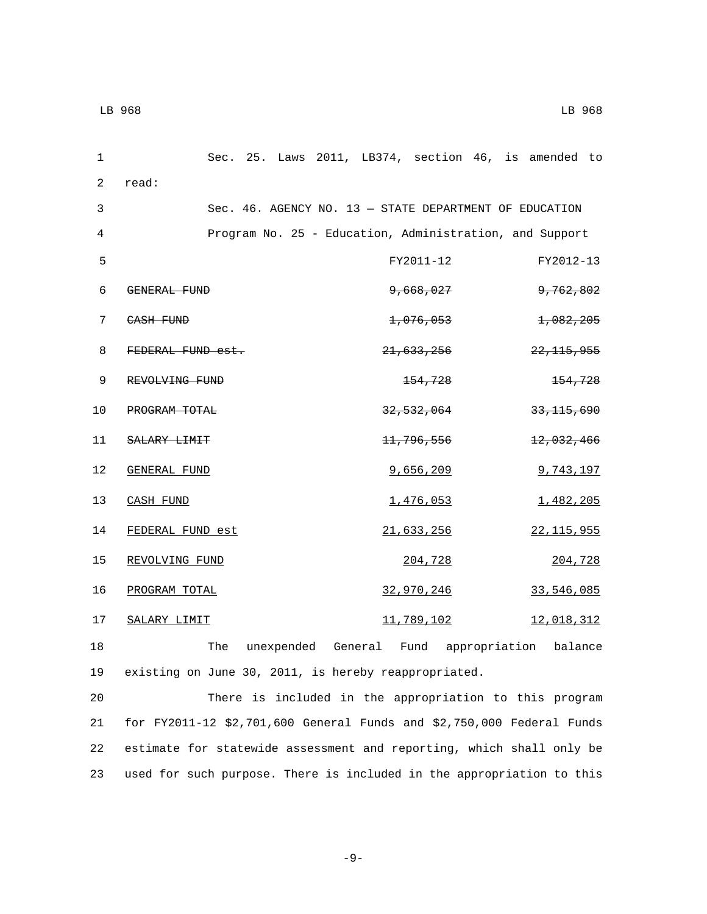| $\mathbf{1}$ |                     |  |  |                       | Sec. 25. Laws 2011, LB374, section 46, is amended to    |  |
|--------------|---------------------|--|--|-----------------------|---------------------------------------------------------|--|
| 2            | read:               |  |  |                       |                                                         |  |
| 3            |                     |  |  |                       | Sec. 46. AGENCY NO. 13 - STATE DEPARTMENT OF EDUCATION  |  |
| 4            |                     |  |  |                       | Program No. 25 - Education, Administration, and Support |  |
| 5            |                     |  |  | FY2011-12             | FY2012-13                                               |  |
| 6            | <b>GENERAL FUND</b> |  |  | 9,668,027             | <del>9,762,802</del>                                    |  |
| 7            | CASH FUND           |  |  | 1,076,053             | 1,082,205                                               |  |
| 8            | FEDERAL FUND est.   |  |  | <del>21,633,256</del> | <del>22, 115, 955</del>                                 |  |
| 9            | REVOLVING FUND      |  |  | <del>154,728</del>    | 154,728                                                 |  |
| 10           | PROGRAM TOTAL       |  |  | <del>32,532,064</del> | 33, 115, 690                                            |  |
| 11           | SALARY LIMIT        |  |  | 11,796,556            | 12,032,466                                              |  |
| 12           | GENERAL FUND        |  |  | 9,656,209             | 9,743,197                                               |  |
| 13           | CASH FUND           |  |  | 1,476,053             | 1,482,205                                               |  |
| 14           | FEDERAL FUND est    |  |  | 21,633,256            | 22, 115, 955                                            |  |
| 15           | REVOLVING FUND      |  |  | 204,728               | 204,728                                                 |  |
| 16           | PROGRAM TOTAL       |  |  | 32,970,246            | 33,546,085                                              |  |
| 17           | SALARY LIMIT        |  |  | 11,789,102            | 12,018,312                                              |  |
|              |                     |  |  |                       |                                                         |  |

18 The unexpended General Fund appropriation balance 19 existing on June 30, 2011, is hereby reappropriated.

 There is included in the appropriation to this program for FY2011-12 \$2,701,600 General Funds and \$2,750,000 Federal Funds estimate for statewide assessment and reporting, which shall only be used for such purpose. There is included in the appropriation to this

```
-9-
```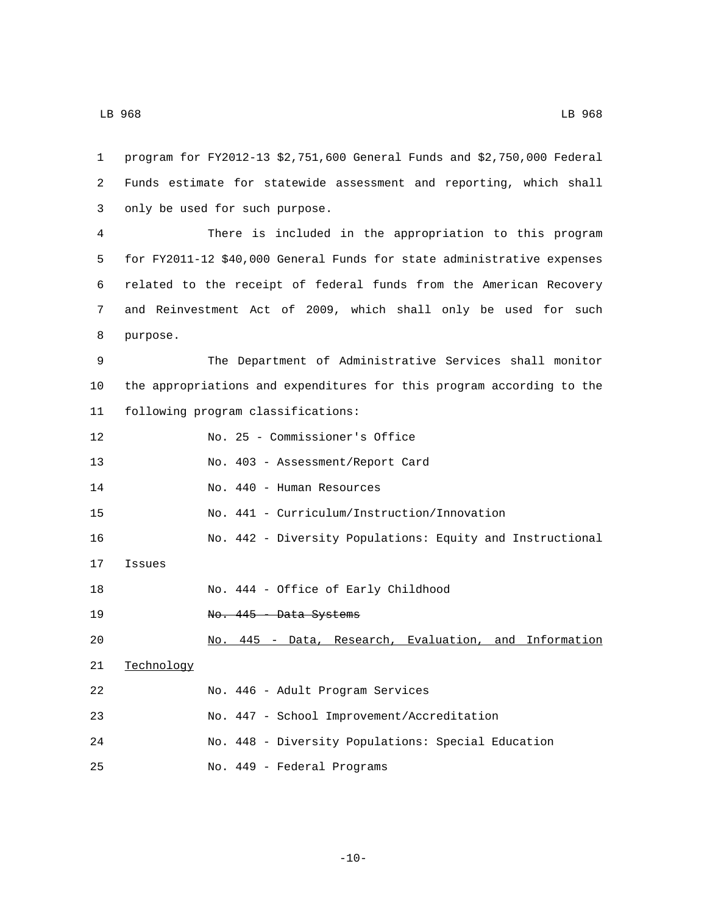| 1  | program for FY2012-13 \$2,751,600 General Funds and \$2,750,000 Federal |
|----|-------------------------------------------------------------------------|
| 2  | Funds estimate for statewide assessment and reporting, which shall      |
| 3  | only be used for such purpose.                                          |
| 4  | There is included in the appropriation to this program                  |
| 5  | for FY2011-12 \$40,000 General Funds for state administrative expenses  |
| 6  | related to the receipt of federal funds from the American Recovery      |
| 7  | and Reinvestment Act of 2009, which shall only be used for such         |
| 8  | purpose.                                                                |
| 9  | The Department of Administrative Services shall monitor                 |
| 10 | the appropriations and expenditures for this program according to the   |
| 11 | following program classifications:                                      |
| 12 | No. 25 - Commissioner's Office                                          |
| 13 | No. 403 - Assessment/Report Card                                        |
| 14 | No. 440 - Human Resources                                               |
| 15 | No. 441 - Curriculum/Instruction/Innovation                             |
| 16 | No. 442 - Diversity Populations: Equity and Instructional               |
| 17 | Issues                                                                  |
| 18 | No. 444 - Office of Early Childhood                                     |
| 19 | No. 445 - Data Systems                                                  |
| 20 | No. 445 - Data, Research, Evaluation, and<br>Information                |
| 21 | Technology                                                              |
| 22 | No. 446 - Adult Program Services                                        |
| 23 | No. 447 - School Improvement/Accreditation                              |
| 24 | No. 448 - Diversity Populations: Special Education                      |
| 25 | No. 449 - Federal Programs                                              |

-10-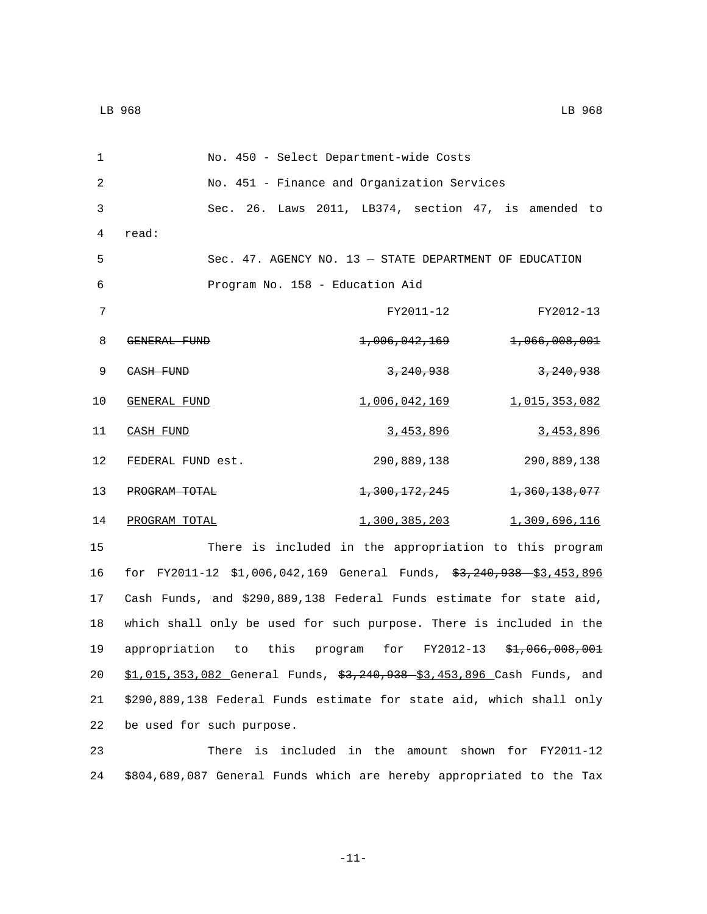| 1  | No. 450 - Select Department-wide Costs                                 |                          |                                            |
|----|------------------------------------------------------------------------|--------------------------|--------------------------------------------|
| 2  | No. 451 - Finance and Organization Services                            |                          |                                            |
| 3  | Sec. 26. Laws 2011, LB374, section 47, is amended to                   |                          |                                            |
| 4  | read:                                                                  |                          |                                            |
| 5  | Sec. $47.$ AGENCY NO. $13 -$ STATE DEPARTMENT OF EDUCATION             |                          |                                            |
| 6  | Program No. 158 - Education Aid                                        |                          |                                            |
| 7  |                                                                        | FY2011-12                | FY2012-13                                  |
| 8  | GENERAL FUND                                                           | <del>1,006,042,169</del> | <del>1,066,008,001</del>                   |
| 9  | CASH FUND                                                              | 3, 240, 938              | 3, 240, 938                                |
| 10 | GENERAL FUND                                                           | <u>1,006,042,169</u>     | 1,015,353,082                              |
| 11 | CASH FUND                                                              | 3,453,896                | 3,453,896                                  |
| 12 | FEDERAL FUND est.                                                      | 290,889,138              | 290,889,138                                |
| 13 | PROGRAM TOTAL                                                          | <del>1,300,172,245</del> | <del>1,360,138,077</del>                   |
| 14 | PROGRAM TOTAL                                                          | 1,300,385,203            | 1,309,696,116                              |
| 15 | There is included in the appropriation to this program                 |                          |                                            |
| 16 | for FY2011-12 \$1,006,042,169 General Funds, \$3,240,938 \$3,453,896   |                          |                                            |
| 17 | Cash Funds, and \$290,889,138 Federal Funds estimate for state aid,    |                          |                                            |
| 18 | which shall only be used for such purpose. There is included in the    |                          |                                            |
| 19 | appropriation<br>to                                                    |                          | this program for FY2012-13 \$1,066,008,001 |
| 20 | \$1,015,353,082 General Funds, \$3,240,938 \$3,453,896 Cash Funds, and |                          |                                            |
| 21 | \$290,889,138 Federal Funds estimate for state aid, which shall only   |                          |                                            |
| 22 | be used for such purpose.                                              |                          |                                            |

23 There is included in the amount shown for FY2011-12 24 \$804,689,087 General Funds which are hereby appropriated to the Tax

-11-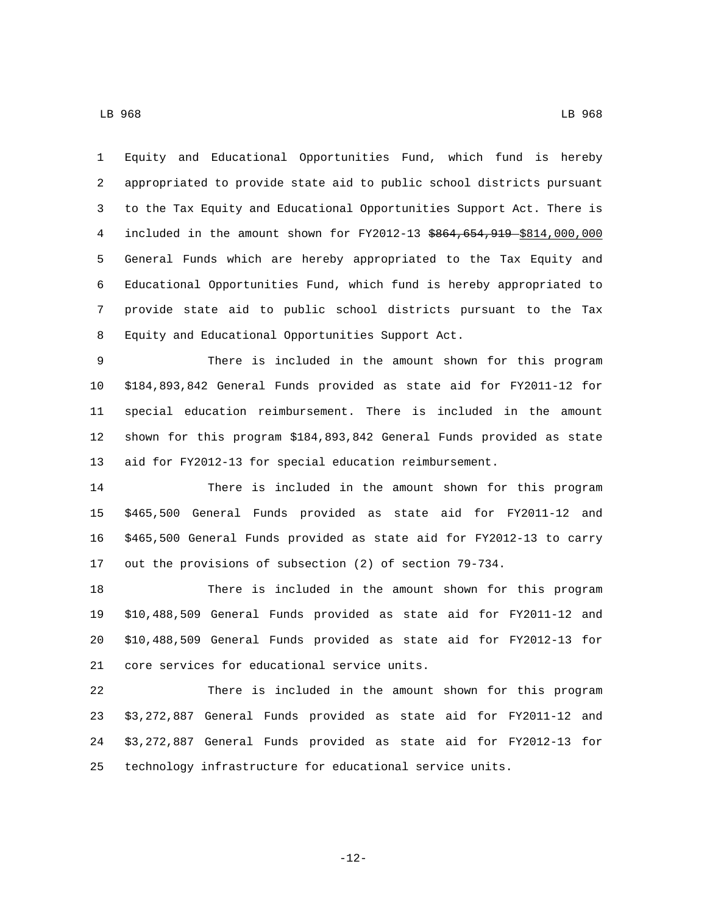Equity and Educational Opportunities Fund, which fund is hereby appropriated to provide state aid to public school districts pursuant to the Tax Equity and Educational Opportunities Support Act. There is 4 included in the amount shown for FY2012-13  $$864,654,919$$  \$814,000,000 General Funds which are hereby appropriated to the Tax Equity and Educational Opportunities Fund, which fund is hereby appropriated to provide state aid to public school districts pursuant to the Tax Equity and Educational Opportunities Support Act.8

 There is included in the amount shown for this program \$184,893,842 General Funds provided as state aid for FY2011-12 for special education reimbursement. There is included in the amount shown for this program \$184,893,842 General Funds provided as state aid for FY2012-13 for special education reimbursement.

 There is included in the amount shown for this program \$465,500 General Funds provided as state aid for FY2011-12 and \$465,500 General Funds provided as state aid for FY2012-13 to carry out the provisions of subsection (2) of section 79-734.

 There is included in the amount shown for this program \$10,488,509 General Funds provided as state aid for FY2011-12 and \$10,488,509 General Funds provided as state aid for FY2012-13 for 21 core services for educational service units.

 There is included in the amount shown for this program \$3,272,887 General Funds provided as state aid for FY2011-12 and \$3,272,887 General Funds provided as state aid for FY2012-13 for technology infrastructure for educational service units.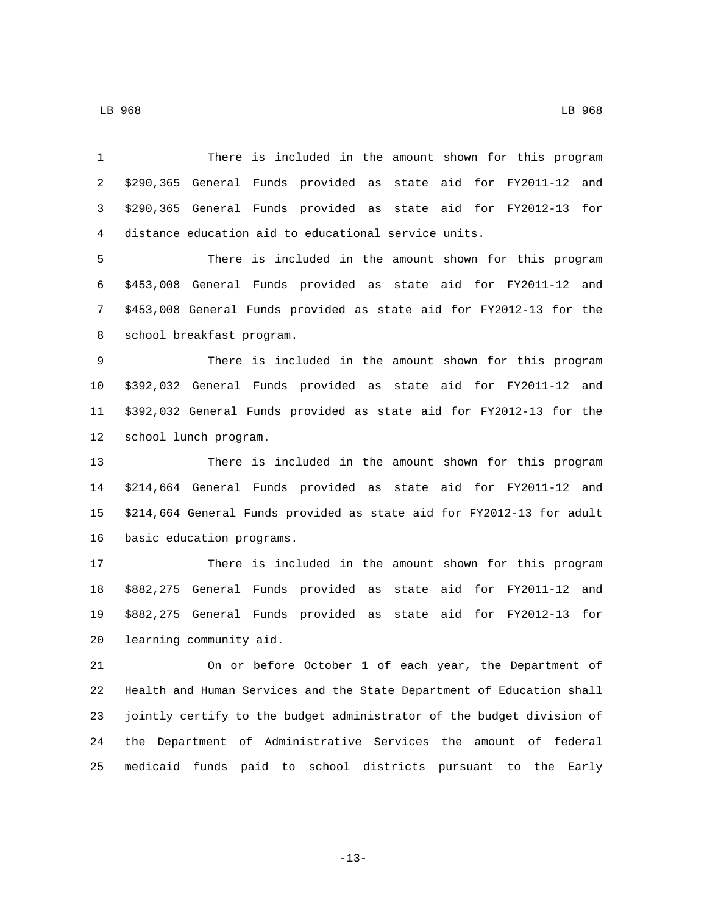There is included in the amount shown for this program \$290,365 General Funds provided as state aid for FY2011-12 and \$290,365 General Funds provided as state aid for FY2012-13 for distance education aid to educational service units. There is included in the amount shown for this program \$453,008 General Funds provided as state aid for FY2011-12 and \$453,008 General Funds provided as state aid for FY2012-13 for the 8 school breakfast program. There is included in the amount shown for this program \$392,032 General Funds provided as state aid for FY2011-12 and \$392,032 General Funds provided as state aid for FY2012-13 for the 12 school lunch program. There is included in the amount shown for this program \$214,664 General Funds provided as state aid for FY2011-12 and \$214,664 General Funds provided as state aid for FY2012-13 for adult 16 basic education programs. There is included in the amount shown for this program \$882,275 General Funds provided as state aid for FY2011-12 and \$882,275 General Funds provided as state aid for FY2012-13 for 20 learning community aid. On or before October 1 of each year, the Department of Health and Human Services and the State Department of Education shall jointly certify to the budget administrator of the budget division of

LB 968 LB 968

-13-

the Department of Administrative Services the amount of federal

medicaid funds paid to school districts pursuant to the Early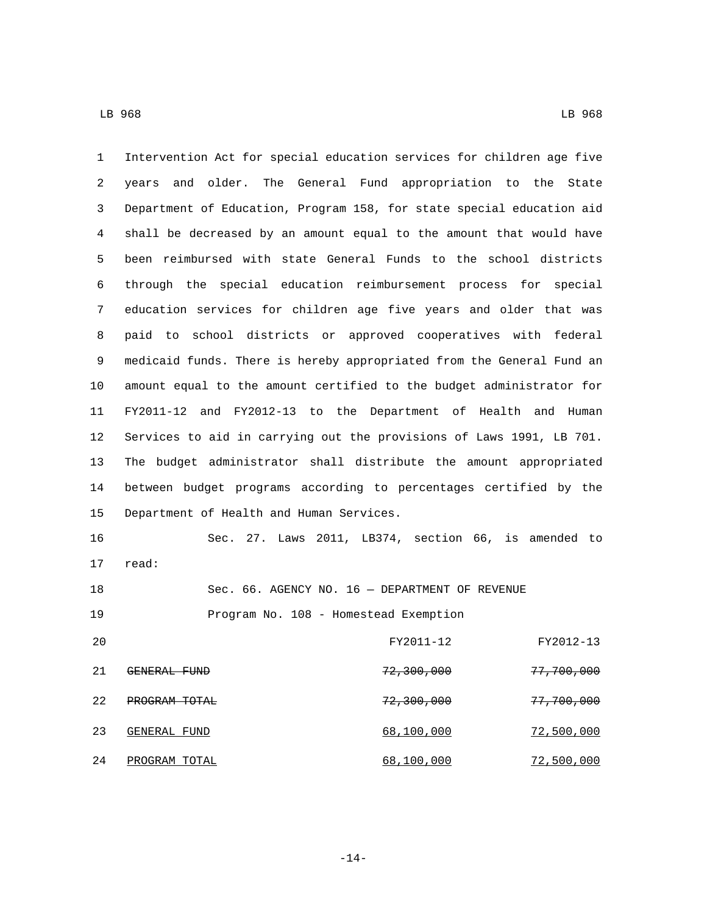Intervention Act for special education services for children age five years and older. The General Fund appropriation to the State Department of Education, Program 158, for state special education aid shall be decreased by an amount equal to the amount that would have been reimbursed with state General Funds to the school districts through the special education reimbursement process for special education services for children age five years and older that was paid to school districts or approved cooperatives with federal medicaid funds. There is hereby appropriated from the General Fund an amount equal to the amount certified to the budget administrator for FY2011-12 and FY2012-13 to the Department of Health and Human Services to aid in carrying out the provisions of Laws 1991, LB 701. The budget administrator shall distribute the amount appropriated between budget programs according to percentages certified by the 15 Department of Health and Human Services. Sec. 27. Laws 2011, LB374, section 66, is amended to

17 read:

Sec. 66. AGENCY NO. 16 — DEPARTMENT OF REVENUE

19 Program No. 108 - Homestead Exemption

| 20 |               | FY2011-12             | FY2012-13             |
|----|---------------|-----------------------|-----------------------|
| 21 | GENERAL FUND  | 72,300,000            | <del>77,700,000</del> |
| 22 | PROGRAM TOTAL | <del>72,300,000</del> | <del>77,700,000</del> |
| 23 | GENERAL FUND  | 68,100,000            | 72,500,000            |
| 24 | PROGRAM TOTAL | 68,100,000            | 72,500,000            |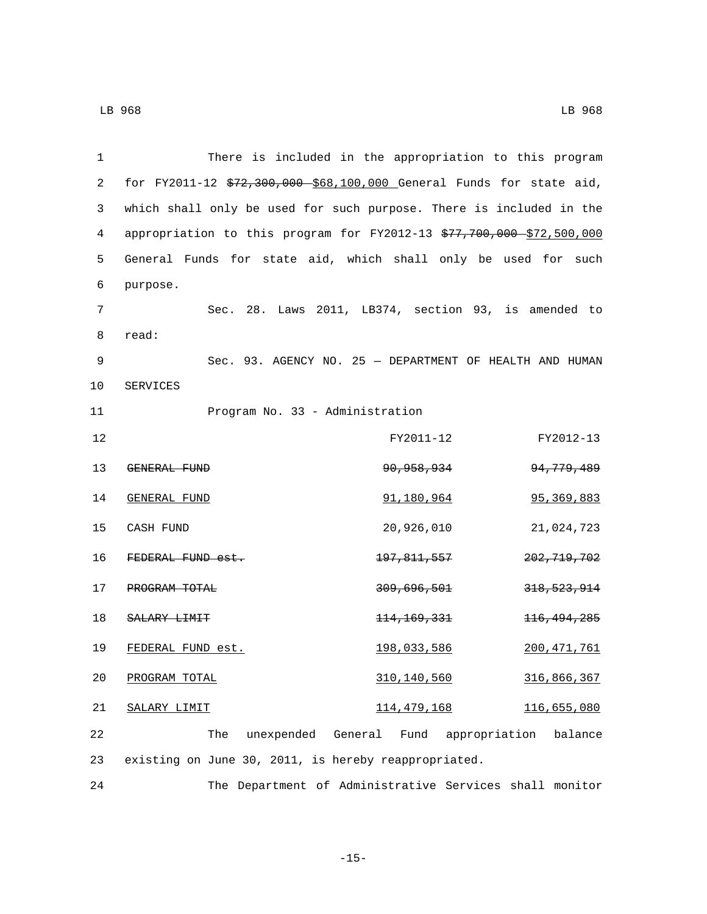| 1  | There is included in the appropriation to this program                |                        |                          |
|----|-----------------------------------------------------------------------|------------------------|--------------------------|
| 2  | for FY2011-12 \$72,300,000 \$68,100,000 General Funds for state aid,  |                        |                          |
| 3  | which shall only be used for such purpose. There is included in the   |                        |                          |
| 4  | appropriation to this program for FY2012-13 \$77,700,000 \$72,500,000 |                        |                          |
| 5  | General Funds for state aid, which shall only be used for such        |                        |                          |
| 6  | purpose.                                                              |                        |                          |
| 7  | Sec. 28. Laws 2011, LB374, section 93, is amended to                  |                        |                          |
| 8  | read:                                                                 |                        |                          |
| 9  | Sec. 93. AGENCY NO. 25 - DEPARTMENT OF HEALTH AND HUMAN               |                        |                          |
| 10 | SERVICES                                                              |                        |                          |
| 11 | Program No. 33 - Administration                                       |                        |                          |
| 12 |                                                                       | FY2011-12              | FY2012-13                |
| 13 | GENERAL FUND                                                          | <del>90,958,934</del>  | 94, 779, 489             |
| 14 | GENERAL FUND                                                          | 91,180,964             | 95, 369, 883             |
| 15 | CASH FUND                                                             | 20,926,010             | 21,024,723               |
| 16 | FEDERAL FUND est.                                                     | <del>197,811,557</del> | <del>202,719,702</del>   |
| 17 | PROGRAM TOTAL                                                         | <del>309,696,501</del> | <del>318, 523, 914</del> |
| 18 | SALARY LIMIT                                                          | <del>114,169,331</del> | <del>116, 494, 285</del> |
| 19 | FEDERAL FUND est.                                                     | <u> 198,033,586</u>    | <u> 200,471,761</u>      |
| 20 | PROGRAM TOTAL                                                         | 310, 140, 560          | 316,866,367              |
| 21 | SALARY LIMIT                                                          | 114, 479, 168          | 116,655,080              |
| 22 | unexpended General<br>The                                             | Fund appropriation     | balance                  |
| 23 | existing on June 30, 2011, is hereby reappropriated.                  |                        |                          |

24 The Department of Administrative Services shall monitor

-15-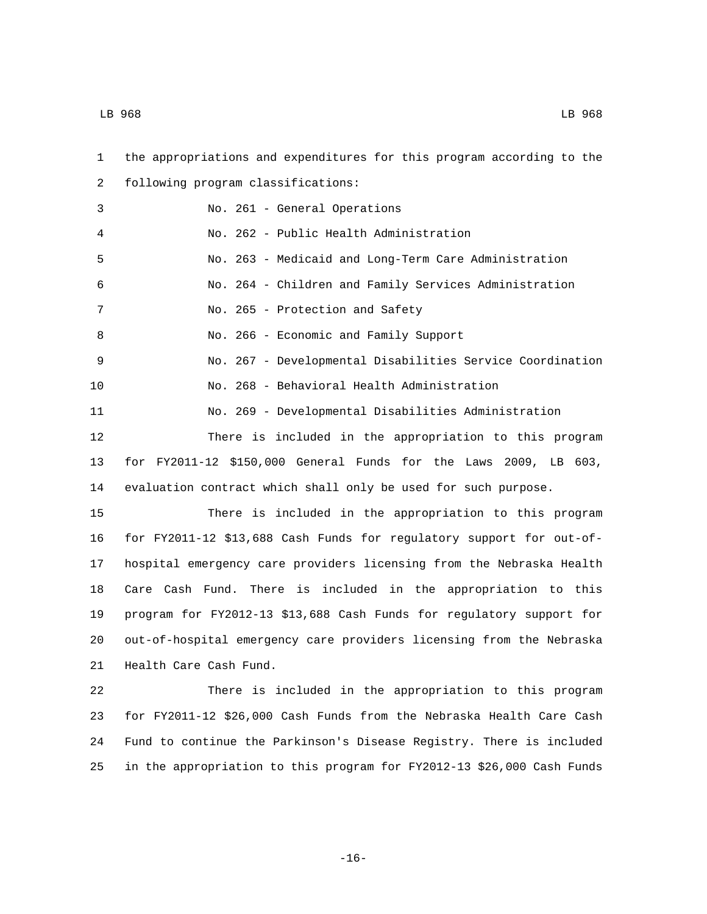| 1  | the appropriations and expenditures for this program according to the  |
|----|------------------------------------------------------------------------|
| 2  | following program classifications:                                     |
| 3  | No. 261 - General Operations                                           |
| 4  | No. 262 - Public Health Administration                                 |
| 5  | No. 263 - Medicaid and Long-Term Care Administration                   |
| 6  | No. 264 - Children and Family Services Administration                  |
| 7  | No. 265 - Protection and Safety                                        |
| 8  | No. 266 - Economic and Family Support                                  |
| 9  | No. 267 - Developmental Disabilities Service Coordination              |
| 10 | No. 268 - Behavioral Health Administration                             |
| 11 | No. 269 - Developmental Disabilities Administration                    |
| 12 | There is included in the appropriation to this program                 |
| 13 | for FY2011-12 \$150,000 General Funds for the Laws 2009, LB 603,       |
| 14 | evaluation contract which shall only be used for such purpose.         |
| 15 | There is included in the appropriation to this program                 |
| 16 | for FY2011-12 \$13,688 Cash Funds for regulatory support for out-of-   |
| 17 | hospital emergency care providers licensing from the Nebraska Health   |
| 18 | Care Cash Fund. There is included in the appropriation to this         |
| 19 | program for FY2012-13 \$13,688 Cash Funds for regulatory support for   |
| 20 | out-of-hospital emergency care providers licensing from the Nebraska   |
| 21 | Health Care Cash Fund.                                                 |
| 22 | There is included in the appropriation to this program                 |
| 23 | for FY2011-12 \$26,000 Cash Funds from the Nebraska Health Care Cash   |
| 24 | Fund to continue the Parkinson's Disease Registry. There is included   |
| 25 | in the appropriation to this program for FY2012-13 \$26,000 Cash Funds |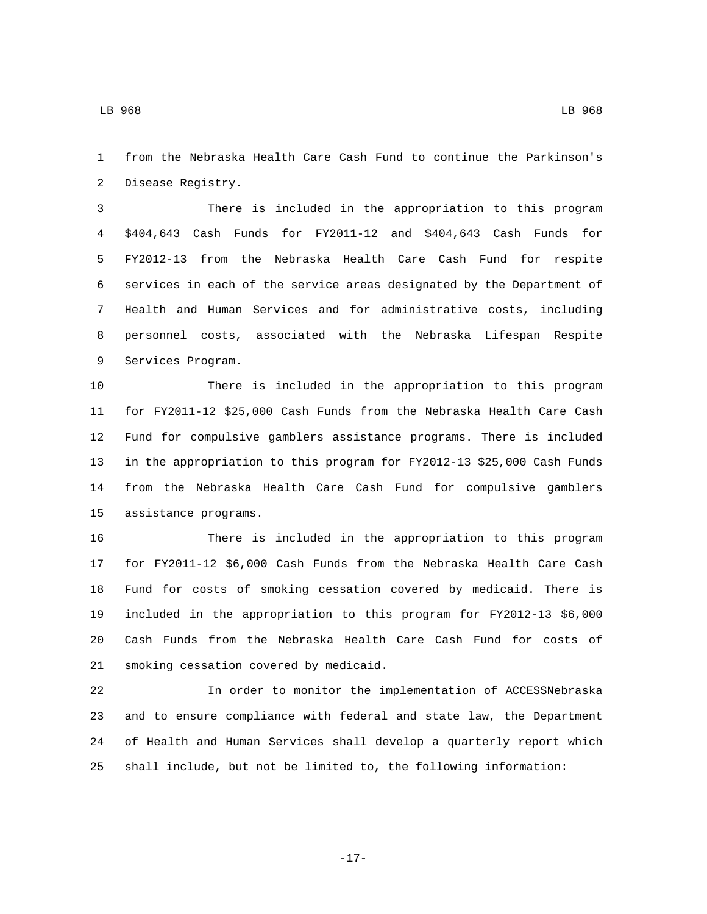LB 968 LB 968

 from the Nebraska Health Care Cash Fund to continue the Parkinson's 2 Disease Registry.

 There is included in the appropriation to this program \$404,643 Cash Funds for FY2011-12 and \$404,643 Cash Funds for FY2012-13 from the Nebraska Health Care Cash Fund for respite services in each of the service areas designated by the Department of Health and Human Services and for administrative costs, including personnel costs, associated with the Nebraska Lifespan Respite 9 Services Program.

 There is included in the appropriation to this program for FY2011-12 \$25,000 Cash Funds from the Nebraska Health Care Cash Fund for compulsive gamblers assistance programs. There is included in the appropriation to this program for FY2012-13 \$25,000 Cash Funds from the Nebraska Health Care Cash Fund for compulsive gamblers 15 assistance programs.

 There is included in the appropriation to this program for FY2011-12 \$6,000 Cash Funds from the Nebraska Health Care Cash Fund for costs of smoking cessation covered by medicaid. There is included in the appropriation to this program for FY2012-13 \$6,000 Cash Funds from the Nebraska Health Care Cash Fund for costs of 21 smoking cessation covered by medicaid.

 In order to monitor the implementation of ACCESSNebraska and to ensure compliance with federal and state law, the Department of Health and Human Services shall develop a quarterly report which shall include, but not be limited to, the following information:

-17-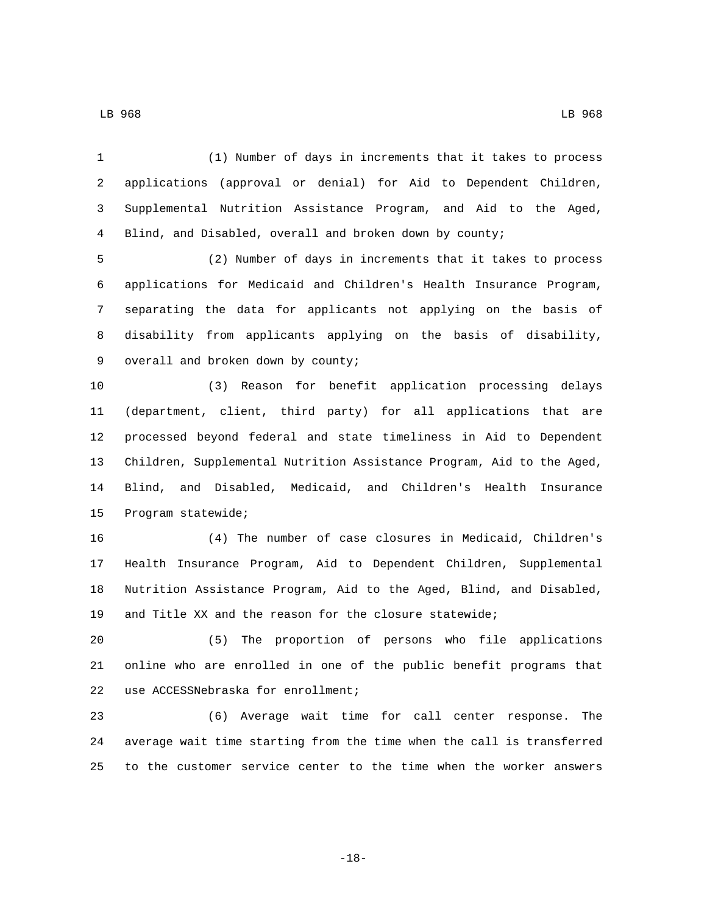(1) Number of days in increments that it takes to process applications (approval or denial) for Aid to Dependent Children, Supplemental Nutrition Assistance Program, and Aid to the Aged, Blind, and Disabled, overall and broken down by county;

 (2) Number of days in increments that it takes to process applications for Medicaid and Children's Health Insurance Program, separating the data for applicants not applying on the basis of disability from applicants applying on the basis of disability, 9 overall and broken down by county;

 (3) Reason for benefit application processing delays (department, client, third party) for all applications that are processed beyond federal and state timeliness in Aid to Dependent Children, Supplemental Nutrition Assistance Program, Aid to the Aged, Blind, and Disabled, Medicaid, and Children's Health Insurance 15 Program statewide;

 (4) The number of case closures in Medicaid, Children's Health Insurance Program, Aid to Dependent Children, Supplemental Nutrition Assistance Program, Aid to the Aged, Blind, and Disabled, and Title XX and the reason for the closure statewide;

 (5) The proportion of persons who file applications online who are enrolled in one of the public benefit programs that 22 use ACCESSNebraska for enrollment;

 (6) Average wait time for call center response. The average wait time starting from the time when the call is transferred to the customer service center to the time when the worker answers

-18-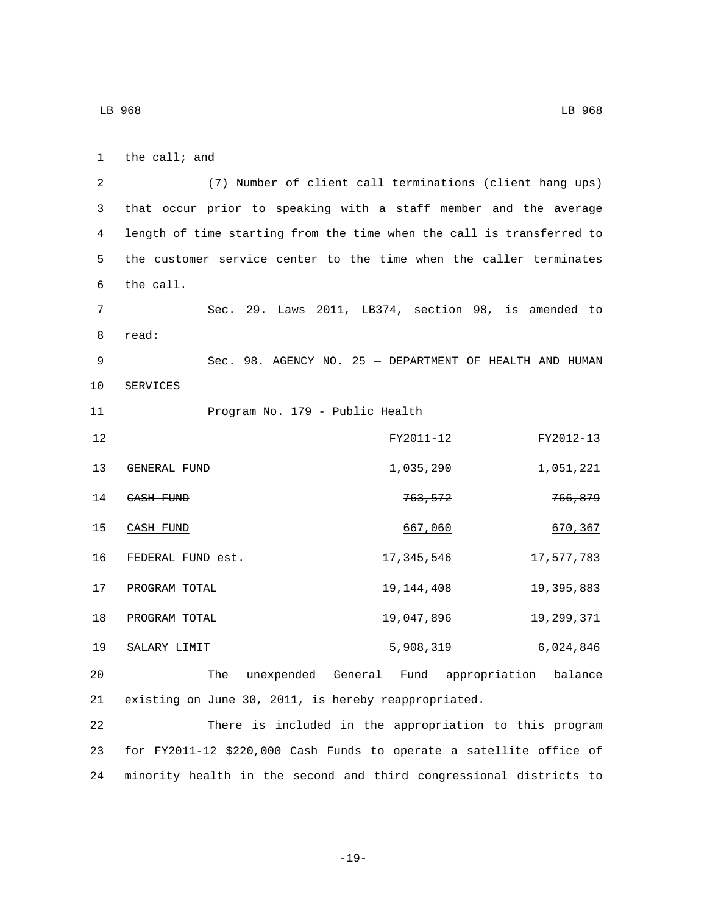| 1  | the $call$ and                                                        |
|----|-----------------------------------------------------------------------|
| 2  | (7) Number of client call terminations (client hang ups)              |
| 3  | that occur prior to speaking with a staff member and the average      |
| 4  | length of time starting from the time when the call is transferred to |
| 5  | the customer service center to the time when the caller terminates    |
| 6  | the call.                                                             |
| 7  | Sec. 29. Laws 2011, LB374, section 98, is amended to                  |
| 8  | read:                                                                 |
| 9  | Sec. 98. AGENCY NO. 25 - DEPARTMENT OF HEALTH AND HUMAN               |
| 10 | SERVICES                                                              |
| 11 | Program No. 179 - Public Health                                       |
| 12 | FY2011-12<br>FY2012-13                                                |
| 13 | 1,035,290<br>1,051,221<br>GENERAL FUND                                |
| 14 | 766,879<br>763,572<br>CASH FUND                                       |
| 15 | CASH FUND<br>667,060<br>670,367                                       |
| 16 | 17,577,783<br>FEDERAL FUND est.<br>17,345,546                         |
| 17 | <del>19, 144, 408</del><br><del>19, 395, 883</del><br>PROGRAM TOTAL   |
| 18 | PROGRAM TOTAL<br>19,047,896<br>19,299,371                             |
| 19 | 5,908,319<br>6,024,846<br>SALARY LIMIT                                |
| 20 | unexpended General Fund appropriation balance<br>The                  |
| 21 | existing on June 30, 2011, is hereby reappropriated.                  |
| つつ | There is included in the appropriation to this program                |

22 There is included in the appropriation to this program 23 for FY2011-12 \$220,000 Cash Funds to operate a satellite office of 24 minority health in the second and third congressional districts to

```
-19-
```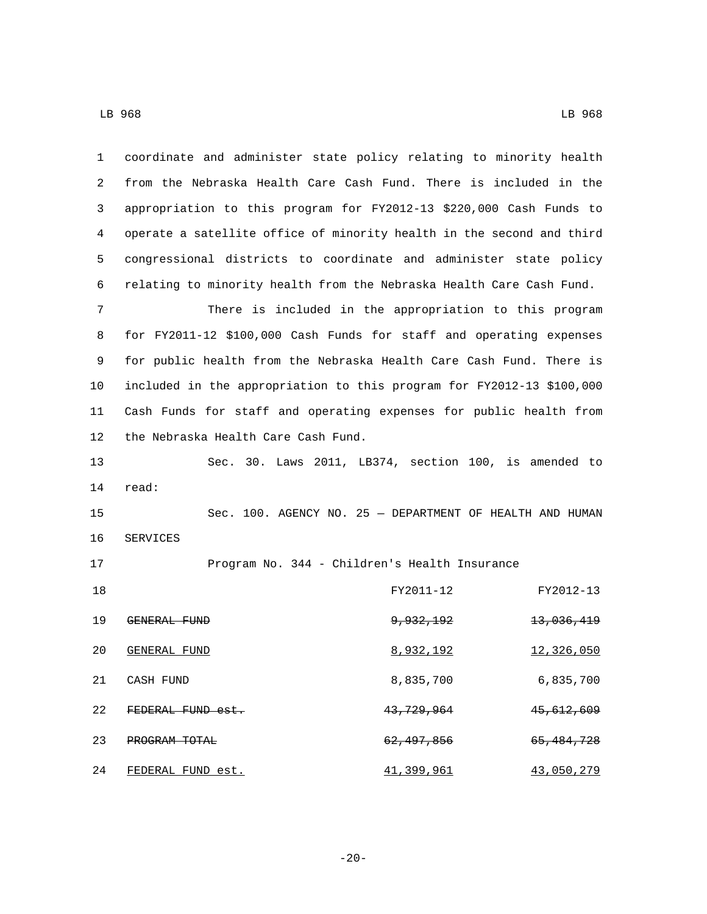| 1  | coordinate and administer state policy relating to minority health    |                                                          |                       |
|----|-----------------------------------------------------------------------|----------------------------------------------------------|-----------------------|
| 2  | from the Nebraska Health Care Cash Fund. There is included in the     |                                                          |                       |
| 3  | appropriation to this program for FY2012-13 \$220,000 Cash Funds to   |                                                          |                       |
| 4  | operate a satellite office of minority health in the second and third |                                                          |                       |
| 5  | congressional districts to coordinate and administer state policy     |                                                          |                       |
| 6  | relating to minority health from the Nebraska Health Care Cash Fund.  |                                                          |                       |
| 7  |                                                                       | There is included in the appropriation to this program   |                       |
| 8  | for FY2011-12 \$100,000 Cash Funds for staff and operating expenses   |                                                          |                       |
| 9  | for public health from the Nebraska Health Care Cash Fund. There is   |                                                          |                       |
| 10 | included in the appropriation to this program for FY2012-13 \$100,000 |                                                          |                       |
| 11 | Cash Funds for staff and operating expenses for public health from    |                                                          |                       |
| 12 | the Nebraska Health Care Cash Fund.                                   |                                                          |                       |
| 13 |                                                                       | Sec. 30. Laws 2011, LB374, section 100, is amended to    |                       |
| 14 | read:                                                                 |                                                          |                       |
| 15 |                                                                       | Sec. 100. AGENCY NO. 25 - DEPARTMENT OF HEALTH AND HUMAN |                       |
| 16 | SERVICES                                                              |                                                          |                       |
| 17 |                                                                       | Program No. 344 - Children's Health Insurance            |                       |
| 18 |                                                                       | FY2011-12                                                | FY2012-13             |
| 19 | GENERAL FUND                                                          | <del>9,932,192</del>                                     | <del>13,036,419</del> |
| 20 | GENERAL FUND                                                          | 8,932,192                                                | 12,326,050            |
| 21 | CASH FUND                                                             | 8,835,700                                                | 6,835,700             |
| 22 | FEDERAL FUND est.                                                     | 43, 729, 964                                             | 45,612,609            |
| 23 | PROGRAM TOTAL                                                         | 62, 497, 856                                             | 65, 484, 728          |
| 24 | FEDERAL FUND est.                                                     | 41,399,961                                               | 43,050,279            |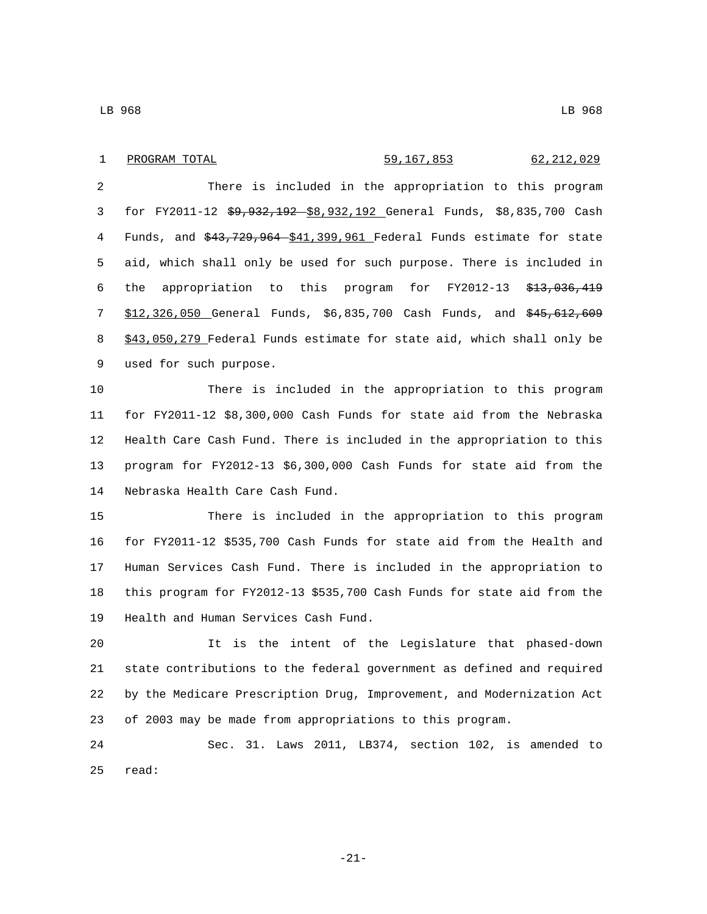### 1 PROGRAM TOTAL 59,167,853 62,212,029

 There is included in the appropriation to this program for FY2011-12 \$9,932,192 \$8,932,192 General Funds, \$8,835,700 Cash 4 Funds, and  $$43,729,964 - $41,399,961$  Federal Funds estimate for state aid, which shall only be used for such purpose. There is included in the appropriation to this program for FY2012-13 \$13,036,419 \$12,326,050 General Funds, \$6,835,700 Cash Funds, and \$45,612,609 \$43,050,279 Federal Funds estimate for state aid, which shall only be 9 used for such purpose.

 There is included in the appropriation to this program for FY2011-12 \$8,300,000 Cash Funds for state aid from the Nebraska Health Care Cash Fund. There is included in the appropriation to this program for FY2012-13 \$6,300,000 Cash Funds for state aid from the 14 Nebraska Health Care Cash Fund.

 There is included in the appropriation to this program for FY2011-12 \$535,700 Cash Funds for state aid from the Health and Human Services Cash Fund. There is included in the appropriation to this program for FY2012-13 \$535,700 Cash Funds for state aid from the 19 Health and Human Services Cash Fund.

 It is the intent of the Legislature that phased-down state contributions to the federal government as defined and required by the Medicare Prescription Drug, Improvement, and Modernization Act of 2003 may be made from appropriations to this program.

 Sec. 31. Laws 2011, LB374, section 102, is amended to 25 read:

-21-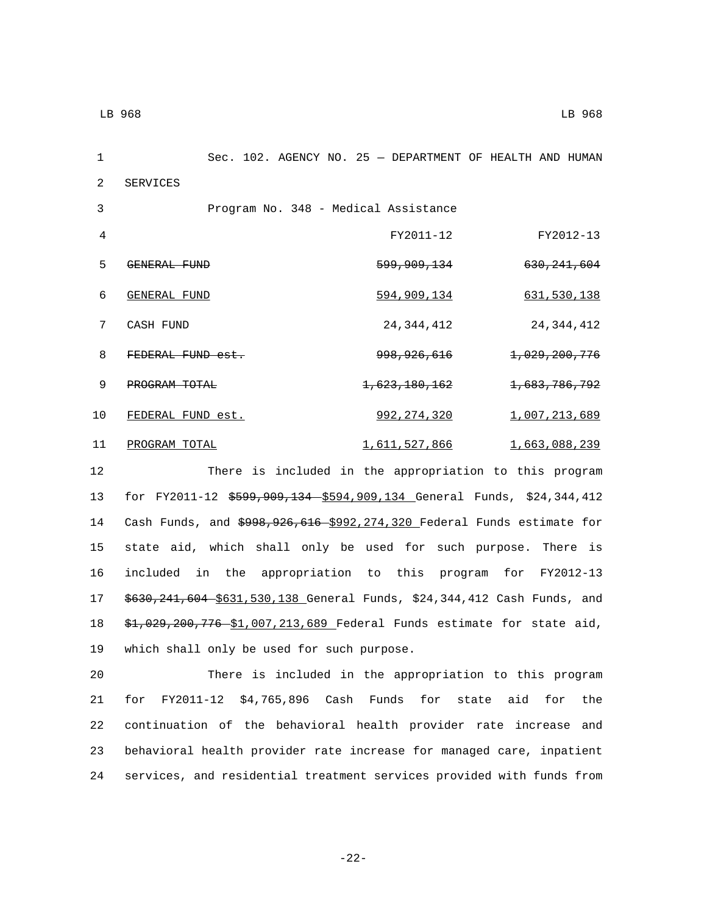1 Sec. 102. AGENCY NO. 25 — DEPARTMENT OF HEALTH AND HUMAN 2 SERVICES 3 Program No. 348 - Medical Assistance 4 FY2011-12 FY2012-13 GENERAL FUND5 599,909,134 630,241,604 GENERAL FUND6 594,909,134 631,530,138 7 CASH FUND 24, 344, 412 24, 344, 412 8 FEDERAL FUND est. 3 998,926,616 1,029,200,776 9 **PROGRAM TOTAL** 1,623,180,162 1,683,786,792 10 FEDERAL FUND est. 392,274,320 1,007,213,689 11 PROGRAM TOTAL 2008 239 12 There is included in the appropriation to this program

 for FY2011-12 \$599,909,134 \$594,909,134 General Funds, \$24,344,412 14 Cash Funds, and \$998,926,616 \$992,274,320 Federal Funds estimate for state aid, which shall only be used for such purpose. There is included in the appropriation to this program for FY2012-13 \$630,241,604 \$631,530,138 General Funds, \$24,344,412 Cash Funds, and \$1,029,200,776 \$1,007,213,689 Federal Funds estimate for state aid, 19 which shall only be used for such purpose.

 There is included in the appropriation to this program for FY2011-12 \$4,765,896 Cash Funds for state aid for the continuation of the behavioral health provider rate increase and behavioral health provider rate increase for managed care, inpatient services, and residential treatment services provided with funds from

-22-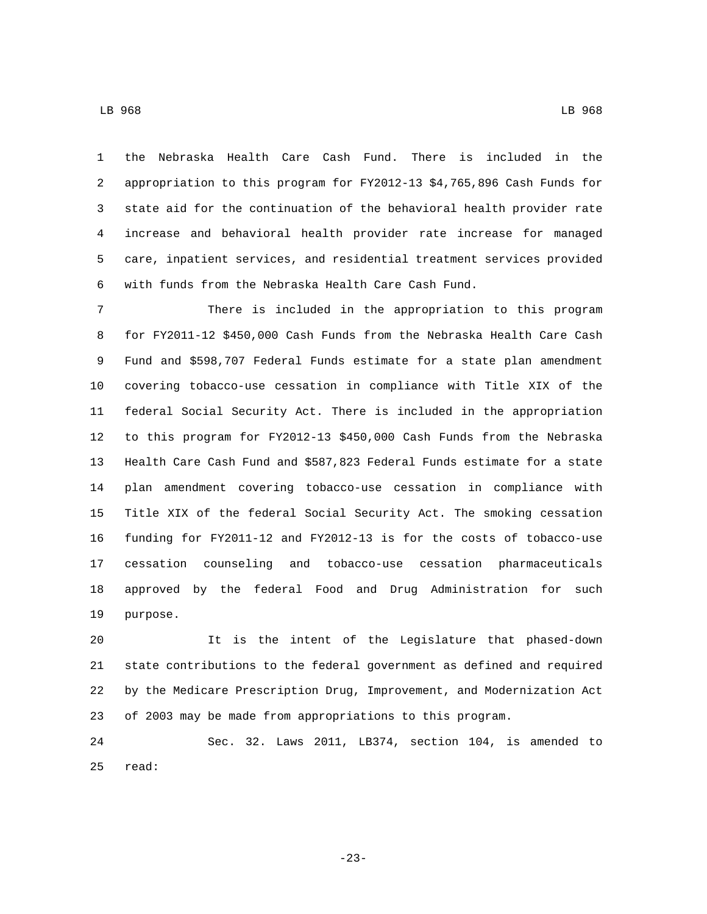LB 968 LB 968

 the Nebraska Health Care Cash Fund. There is included in the appropriation to this program for FY2012-13 \$4,765,896 Cash Funds for state aid for the continuation of the behavioral health provider rate increase and behavioral health provider rate increase for managed care, inpatient services, and residential treatment services provided with funds from the Nebraska Health Care Cash Fund.

 There is included in the appropriation to this program for FY2011-12 \$450,000 Cash Funds from the Nebraska Health Care Cash Fund and \$598,707 Federal Funds estimate for a state plan amendment covering tobacco-use cessation in compliance with Title XIX of the federal Social Security Act. There is included in the appropriation to this program for FY2012-13 \$450,000 Cash Funds from the Nebraska Health Care Cash Fund and \$587,823 Federal Funds estimate for a state plan amendment covering tobacco-use cessation in compliance with Title XIX of the federal Social Security Act. The smoking cessation funding for FY2011-12 and FY2012-13 is for the costs of tobacco-use cessation counseling and tobacco-use cessation pharmaceuticals approved by the federal Food and Drug Administration for such 19 purpose.

 It is the intent of the Legislature that phased-down state contributions to the federal government as defined and required by the Medicare Prescription Drug, Improvement, and Modernization Act of 2003 may be made from appropriations to this program.

 Sec. 32. Laws 2011, LB374, section 104, is amended to 25 read:

-23-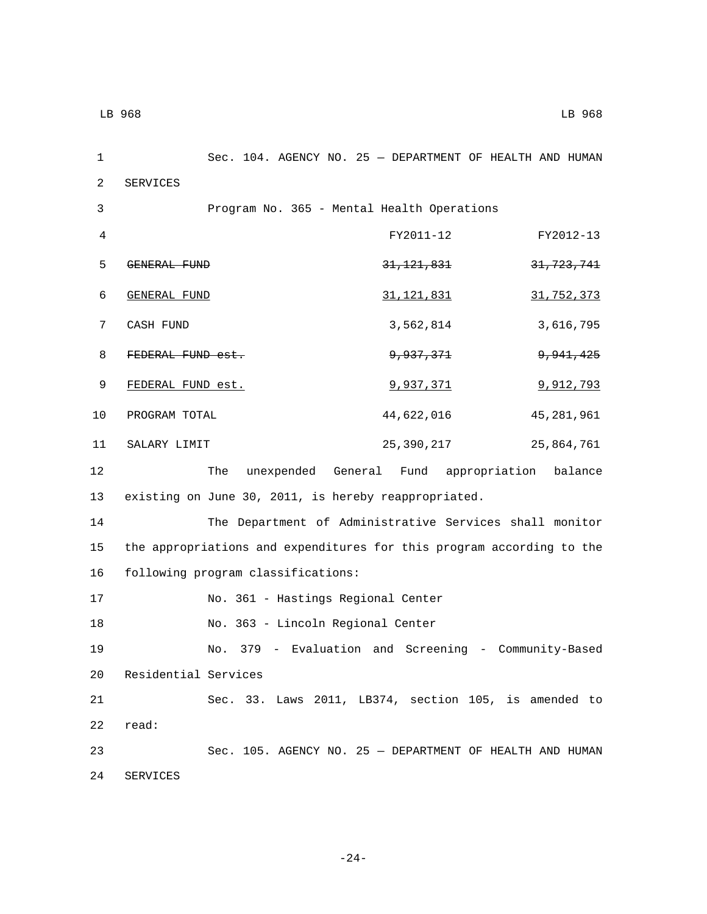2 SERVICES

1 Sec. 104. AGENCY NO. 25 — DEPARTMENT OF HEALTH AND HUMAN 3 Program No. 365 - Mental Health Operations 4 FY2011-12 FY2012-13 5 GENERAL FUND 31,121,831 31,121,831 6 GENERAL FUND 31,121,831 31,752,373 T CASH FUND 3,562,814 3,616,795 8 FEDERAL FUND est. 3 9,937,371 9,941,425 9 FEDERAL FUND est. 3,937,371 9,937,371 10 PROGRAM TOTAL 2010 44,622,016 45,281,961 11 SALARY LIMIT 25,390,217 25,864,761 12 The unexpended General Fund appropriation balance

13 existing on June 30, 2011, is hereby reappropriated.

14 The Department of Administrative Services shall monitor 15 the appropriations and expenditures for this program according to the 16 following program classifications:

17 No. 361 - Hastings Regional Center

18 No. 363 - Lincoln Regional Center

19 No. 379 - Evaluation and Screening - Community-Based 20 Residential Services 21 Sec. 33. Laws 2011, LB374, section 105, is amended to

22 read:

23 Sec. 105. AGENCY NO. 25 — DEPARTMENT OF HEALTH AND HUMAN 24 SERVICES

-24-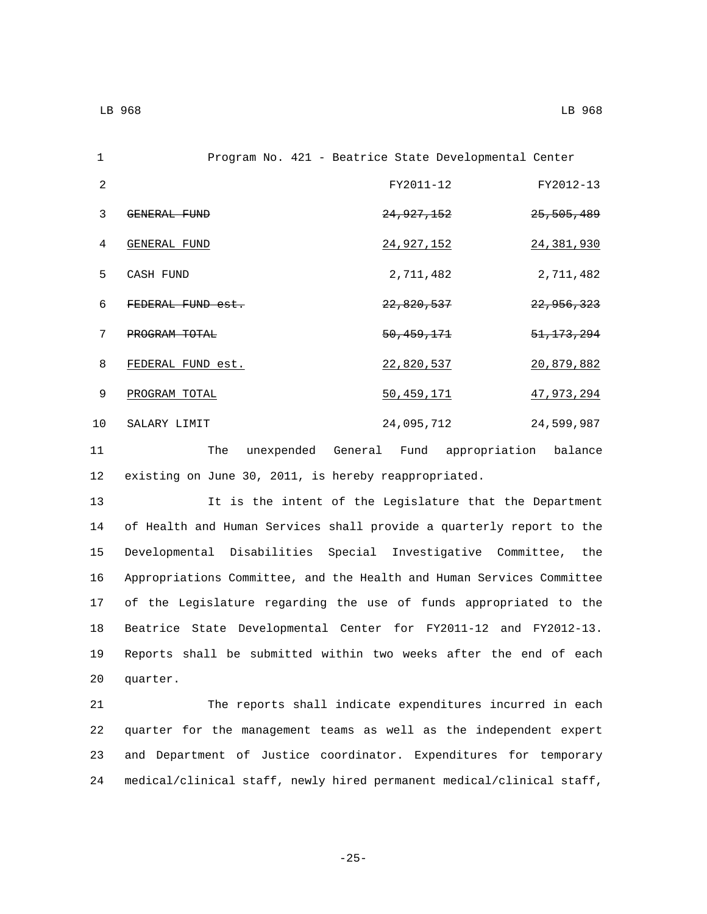1 Program No. 421 - Beatrice State Developmental Center 2 FY2011-12 FY2012-13 3 GENERAL FUND 25,505,489 4 GENERAL FUND<sub>4</sub> 24,927,152 24,381,930 5 CASH FUND 2,711,482 2,711,482 6 FEDERAL FUND est. 22,820,537 22,956,323 7 PROGRAM TOTAL<sub>7</sub> 50,459,171 51,173,294 8 FEDERAL FUND est. 22,820,537 20,879,882 9 PROGRAM TOTAL 50,459,171 47,973,294 10 SALARY LIMIT 24,095,712 24,599,987

11 The unexpended General Fund appropriation balance 12 existing on June 30, 2011, is hereby reappropriated.

 It is the intent of the Legislature that the Department of Health and Human Services shall provide a quarterly report to the Developmental Disabilities Special Investigative Committee, the Appropriations Committee, and the Health and Human Services Committee of the Legislature regarding the use of funds appropriated to the Beatrice State Developmental Center for FY2011-12 and FY2012-13. Reports shall be submitted within two weeks after the end of each 20 quarter.

 The reports shall indicate expenditures incurred in each quarter for the management teams as well as the independent expert and Department of Justice coordinator. Expenditures for temporary medical/clinical staff, newly hired permanent medical/clinical staff,

-25-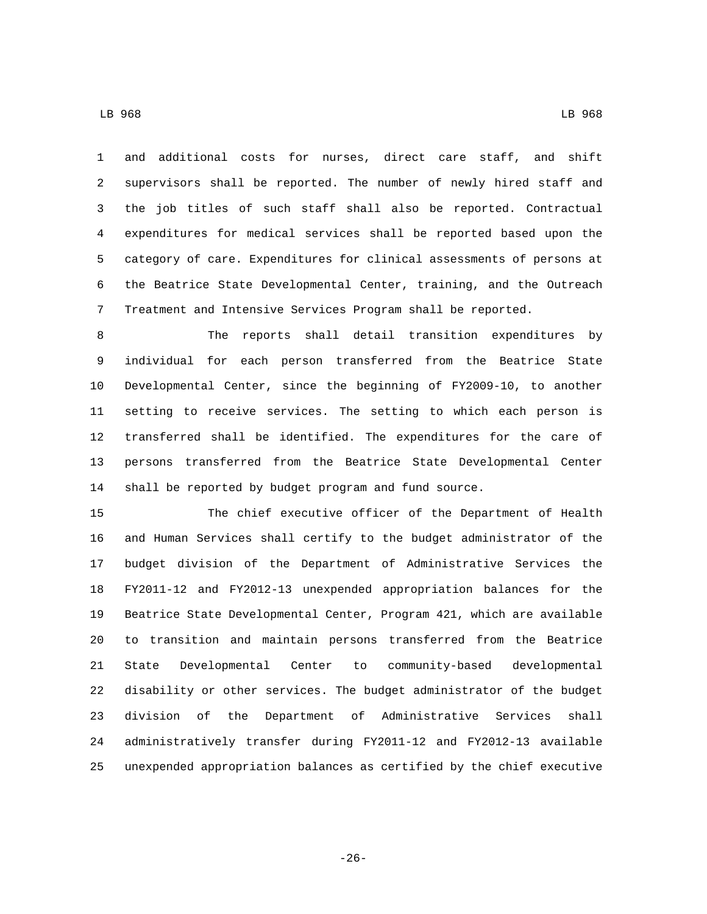LB 968 LB 968

 and additional costs for nurses, direct care staff, and shift supervisors shall be reported. The number of newly hired staff and the job titles of such staff shall also be reported. Contractual expenditures for medical services shall be reported based upon the category of care. Expenditures for clinical assessments of persons at the Beatrice State Developmental Center, training, and the Outreach Treatment and Intensive Services Program shall be reported.

 The reports shall detail transition expenditures by individual for each person transferred from the Beatrice State Developmental Center, since the beginning of FY2009-10, to another setting to receive services. The setting to which each person is transferred shall be identified. The expenditures for the care of persons transferred from the Beatrice State Developmental Center shall be reported by budget program and fund source.

 The chief executive officer of the Department of Health and Human Services shall certify to the budget administrator of the budget division of the Department of Administrative Services the FY2011-12 and FY2012-13 unexpended appropriation balances for the Beatrice State Developmental Center, Program 421, which are available to transition and maintain persons transferred from the Beatrice State Developmental Center to community-based developmental disability or other services. The budget administrator of the budget division of the Department of Administrative Services shall administratively transfer during FY2011-12 and FY2012-13 available unexpended appropriation balances as certified by the chief executive

-26-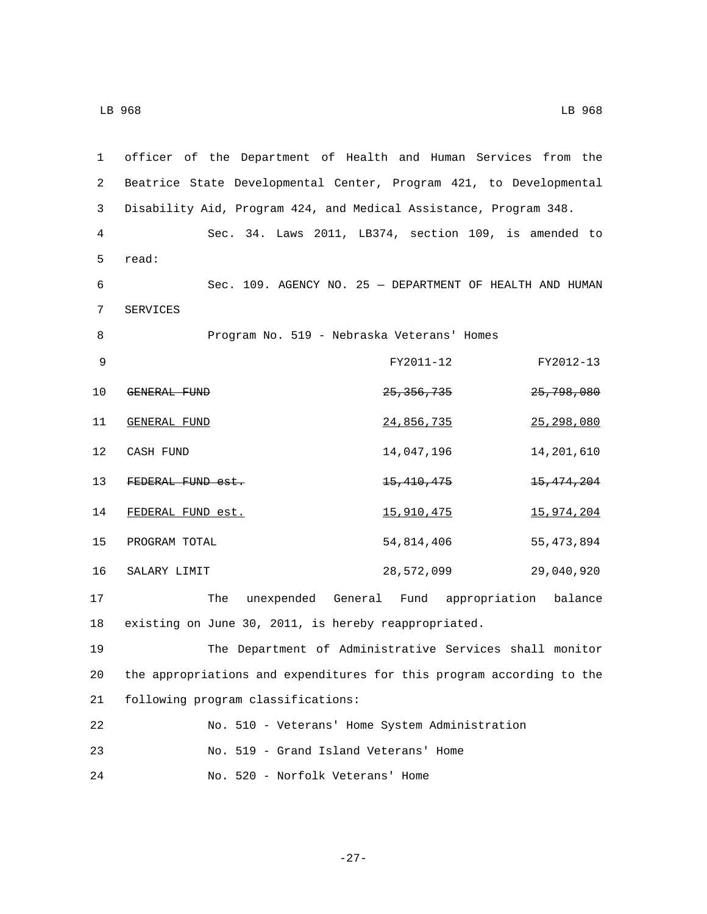| 1  | officer of the Department of Health and Human Services from the       |                                                          |                       |
|----|-----------------------------------------------------------------------|----------------------------------------------------------|-----------------------|
| 2  | Beatrice State Developmental Center, Program 421, to Developmental    |                                                          |                       |
| 3  | Disability Aid, Program 424, and Medical Assistance, Program 348.     |                                                          |                       |
| 4  |                                                                       | Sec. 34. Laws 2011, LB374, section 109, is amended to    |                       |
| 5  | read:                                                                 |                                                          |                       |
| 6  |                                                                       | Sec. 109. AGENCY NO. 25 - DEPARTMENT OF HEALTH AND HUMAN |                       |
| 7  | SERVICES                                                              |                                                          |                       |
| 8  |                                                                       | Program No. 519 - Nebraska Veterans' Homes               |                       |
| 9  |                                                                       | FY2011-12                                                | FY2012-13             |
| 10 | GENERAL FUND                                                          | <del>25, 356, 735</del>                                  | <del>25,798,080</del> |
| 11 | <b>GENERAL FUND</b>                                                   | 24,856,735                                               | 25,298,080            |
| 12 | CASH FUND                                                             | 14,047,196                                               | 14,201,610            |
| 13 | FEDERAL FUND est.                                                     | <del>15,410,475</del>                                    | 15, 474, 204          |
| 14 | FEDERAL FUND est.                                                     | 15,910,475                                               | 15,974,204            |
| 15 | PROGRAM TOTAL                                                         | 54,814,406                                               | 55,473,894            |
| 16 | SALARY LIMIT                                                          | 28,572,099                                               | 29,040,920            |
| 17 | The                                                                   | unexpended General Fund appropriation balance            |                       |
| 18 | existing on June 30, 2011, is hereby reappropriated.                  |                                                          |                       |
| 19 |                                                                       | The Department of Administrative Services shall monitor  |                       |
| 20 | the appropriations and expenditures for this program according to the |                                                          |                       |
| 21 | following program classifications:                                    |                                                          |                       |
| 22 |                                                                       | No. 510 - Veterans' Home System Administration           |                       |
| 23 | No. 519 - Grand Island Veterans' Home                                 |                                                          |                       |
| 24 | No. 520 - Norfolk Veterans' Home                                      |                                                          |                       |

-27-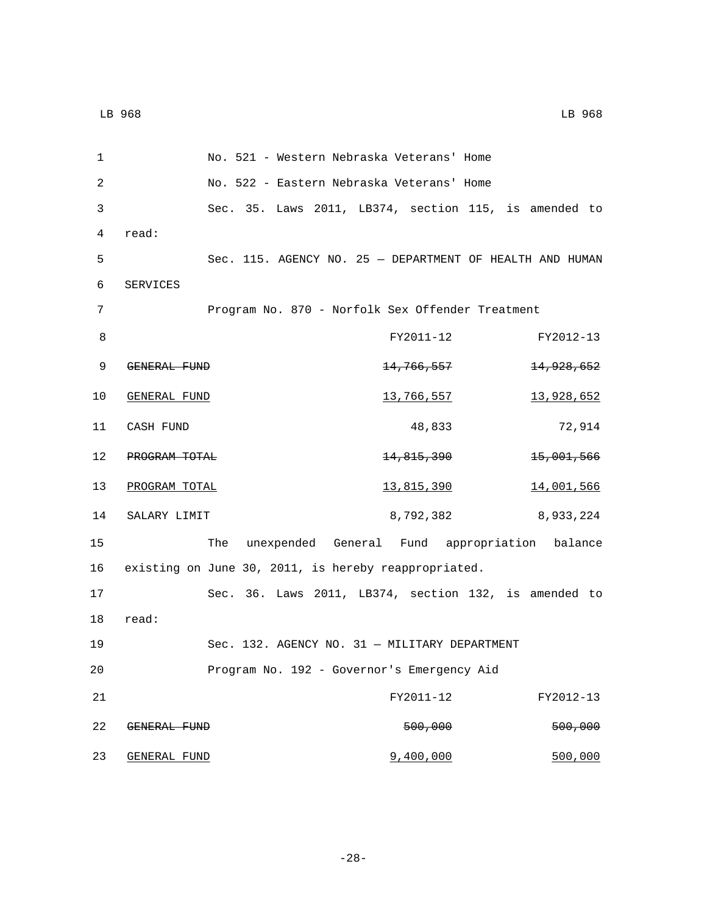| 1  |                     |     | No. 521 - Western Nebraska Veterans' Home                |                       |
|----|---------------------|-----|----------------------------------------------------------|-----------------------|
| 2  |                     |     | No. 522 - Eastern Nebraska Veterans' Home                |                       |
| 3  |                     |     | Sec. 35. Laws 2011, LB374, section 115, is amended to    |                       |
| 4  | read:               |     |                                                          |                       |
| 5  |                     |     | Sec. 115. AGENCY NO. 25 - DEPARTMENT OF HEALTH AND HUMAN |                       |
| 6  | SERVICES            |     |                                                          |                       |
| 7  |                     |     | Program No. 870 - Norfolk Sex Offender Treatment         |                       |
| 8  |                     |     | FY2011-12                                                | FY2012-13             |
| 9  | GENERAL FUND        |     | <del>14,766,557</del>                                    | <del>14,928,652</del> |
| 10 | <b>GENERAL FUND</b> |     | 13,766,557                                               | 13,928,652            |
| 11 | CASH FUND           |     | 48,833                                                   | 72,914                |
| 12 | PROGRAM TOTAL       |     | 14,815,390                                               | 15,001,566            |
| 13 | PROGRAM TOTAL       |     | <u>13,815,390</u>                                        | <u>14,001,566</u>     |
| 14 | SALARY LIMIT        |     | 8,792,382                                                | 8,933,224             |
| 15 |                     | The | unexpended General Fund appropriation balance            |                       |
| 16 |                     |     | existing on June 30, 2011, is hereby reappropriated.     |                       |
| 17 |                     |     | Sec. 36. Laws 2011, LB374, section 132, is amended to    |                       |
| 18 | read:               |     |                                                          |                       |
| 19 |                     |     | Sec. 132. AGENCY NO. 31 - MILITARY DEPARTMENT            |                       |
| 20 |                     |     | Program No. 192 - Governor's Emergency Aid               |                       |
| 21 |                     |     | FY2011-12                                                | FY2012-13             |
| 22 | GENERAL FUND        |     | 500,000                                                  | 500,000               |
| 23 | <b>GENERAL FUND</b> |     | 9,400,000                                                | 500,000               |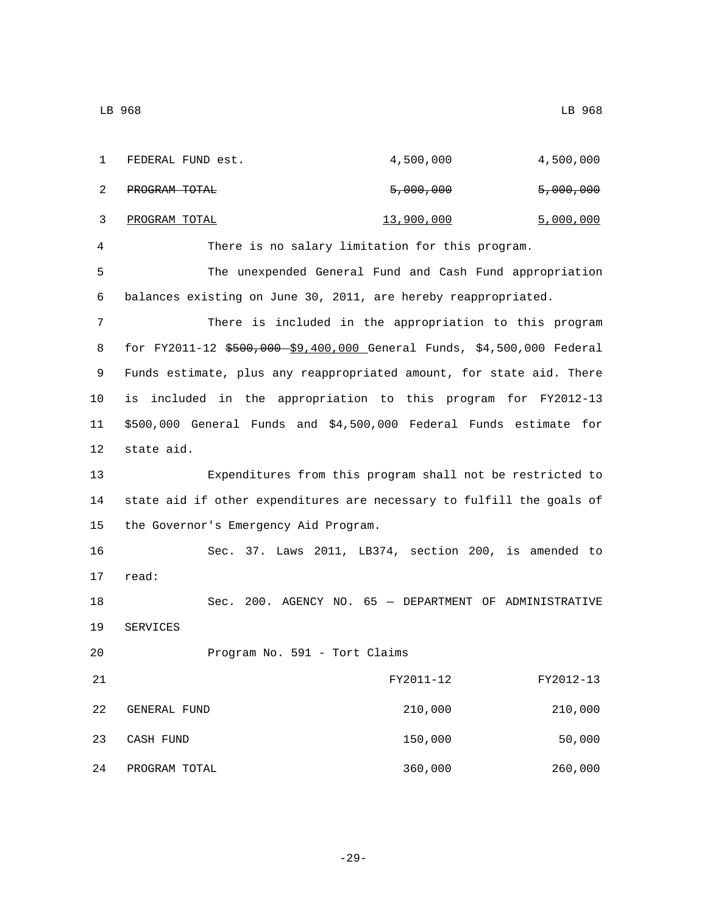| 1  | FEDERAL FUND est.                                                      | 4,500,000                                                 | 4,500,000 |
|----|------------------------------------------------------------------------|-----------------------------------------------------------|-----------|
| 2  | PROGRAM TOTAL                                                          | 5,000,000                                                 | 5,000,000 |
| 3  | PROGRAM TOTAL                                                          | 13,900,000                                                | 5,000,000 |
| 4  |                                                                        | There is no salary limitation for this program.           |           |
| 5  |                                                                        | The unexpended General Fund and Cash Fund appropriation   |           |
| 6  | balances existing on June 30, 2011, are hereby reappropriated.         |                                                           |           |
| 7  |                                                                        | There is included in the appropriation to this program    |           |
| 8  | for FY2011-12 \$500,000 \$9,400,000 General Funds, \$4,500,000 Federal |                                                           |           |
| 9  | Funds estimate, plus any reappropriated amount, for state aid. There   |                                                           |           |
| 10 | is included in the appropriation to this program for FY2012-13         |                                                           |           |
| 11 | \$500,000 General Funds and \$4,500,000 Federal Funds estimate for     |                                                           |           |
| 12 | state aid.                                                             |                                                           |           |
| 13 |                                                                        | Expenditures from this program shall not be restricted to |           |
| 14 | state aid if other expenditures are necessary to fulfill the goals of  |                                                           |           |
| 15 | the Governor's Emergency Aid Program.                                  |                                                           |           |
| 16 |                                                                        | Sec. 37. Laws 2011, LB374, section 200, is amended to     |           |
| 17 | read:                                                                  |                                                           |           |
| 18 |                                                                        | Sec. 200. AGENCY NO. 65 - DEPARTMENT OF ADMINISTRATIVE    |           |
| 19 | SERVICES                                                               |                                                           |           |
| 20 | Program No. 591 - Tort Claims                                          |                                                           |           |
| 21 |                                                                        | FY2011-12                                                 | FY2012-13 |
| 22 | GENERAL FUND                                                           | 210,000                                                   | 210,000   |
| 23 | CASH FUND                                                              | 150,000                                                   | 50,000    |
| 24 | PROGRAM TOTAL                                                          | 360,000                                                   | 260,000   |

-29-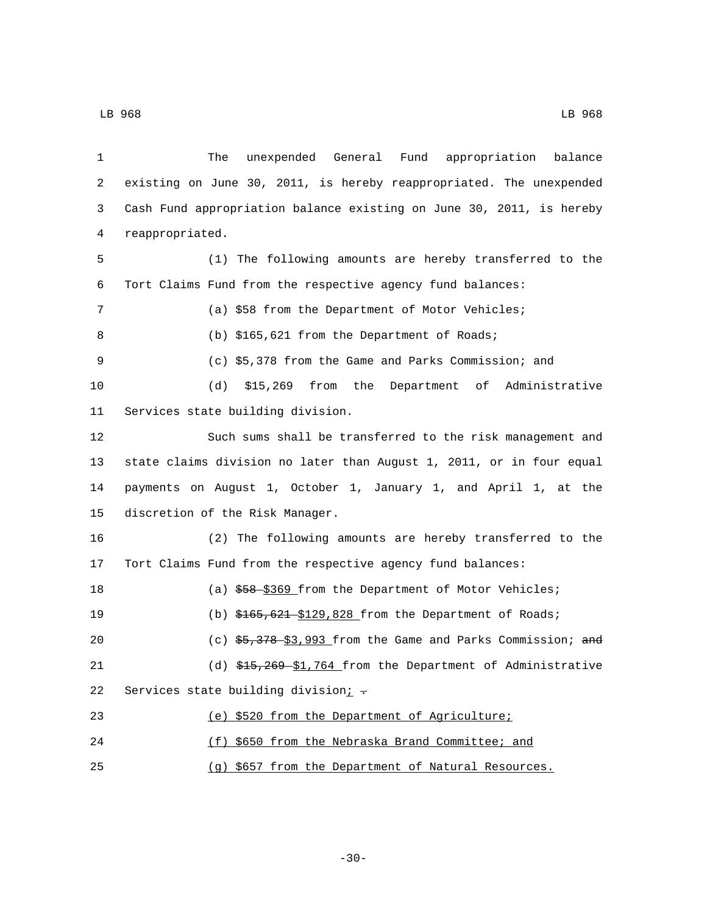| 1  | unexpended General Fund appropriation balance<br>The                 |
|----|----------------------------------------------------------------------|
| 2  | existing on June 30, 2011, is hereby reappropriated. The unexpended  |
| 3  | Cash Fund appropriation balance existing on June 30, 2011, is hereby |
| 4  | reappropriated.                                                      |
| 5  | (1) The following amounts are hereby transferred to the              |
| 6  | Tort Claims Fund from the respective agency fund balances:           |
| 7  | (a) \$58 from the Department of Motor Vehicles;                      |
| 8  | (b) \$165,621 from the Department of Roads;                          |
| 9  | (c) \$5,378 from the Game and Parks Commission; and                  |
| 10 | (d)<br>\$15,269 from the Department of Administrative                |
| 11 | Services state building division.                                    |
| 12 | Such sums shall be transferred to the risk management and            |
| 13 | state claims division no later than August 1, 2011, or in four equal |
| 14 | payments on August 1, October 1, January 1, and April 1, at the      |
| 15 | discretion of the Risk Manager.                                      |
| 16 | (2) The following amounts are hereby transferred to the              |
| 17 | Tort Claims Fund from the respective agency fund balances:           |
| 18 | (a) \$58-\$369 from the Department of Motor Vehicles;                |
| 19 | (b) $$165,621$-\$129,828$ from the Department of Roads;              |
| 20 | (c) $$5,378-$3,993$ from the Game and Parks Commission; and          |
| 21 | (d) \$15,269-\$1,764 from the Department of Administrative           |
| 22 | Services state building division; -                                  |
| 23 | (e) \$520 from the Department of Agriculture;                        |
| 24 | (f) \$650 from the Nebraska Brand Committee; and                     |
| 25 | (q) \$657 from the Department of Natural Resources.                  |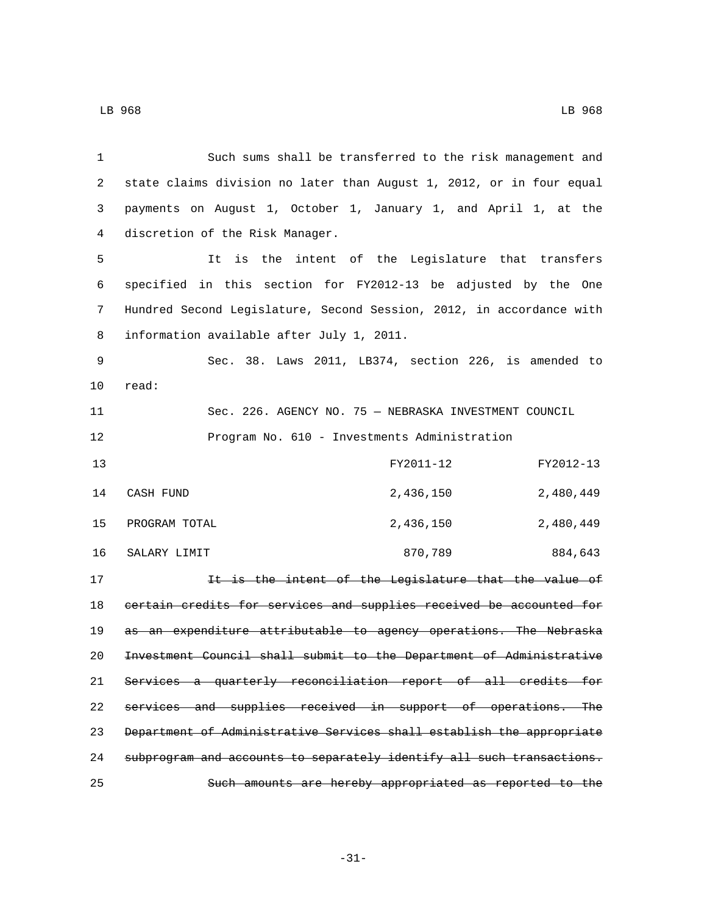4 discretion of the Risk Manager.

 Such sums shall be transferred to the risk management and state claims division no later than August 1, 2012, or in four equal payments on August 1, October 1, January 1, and April 1, at the

 It is the intent of the Legislature that transfers specified in this section for FY2012-13 be adjusted by the One Hundred Second Legislature, Second Session, 2012, in accordance with 8 information available after July 1, 2011.

 Sec. 38. Laws 2011, LB374, section 226, is amended to 10 read:

 Sec. 226. AGENCY NO. 75 — NEBRASKA INVESTMENT COUNCIL Program No. 610 - Investments Administration

| 13 |               | FY2011-12 | FY2012-13 |
|----|---------------|-----------|-----------|
| 14 | CASH FUND     | 2,436,150 | 2,480,449 |
| 15 | PROGRAM TOTAL | 2,436,150 | 2,480,449 |
| 16 | SALARY LIMIT  | 870,789   | 884,643   |

17 17 It is the intent of the Legislature that the value of certain credits for services and supplies received be accounted for 19 as an expenditure attributable to agency operations. The Nebraska Investment Council shall submit to the Department of Administrative Services a quarterly reconciliation report of all credits for services and supplies received in support of operations. The Department of Administrative Services shall establish the appropriate subprogram and accounts to separately identify all such transactions. Such amounts are hereby appropriated as reported to the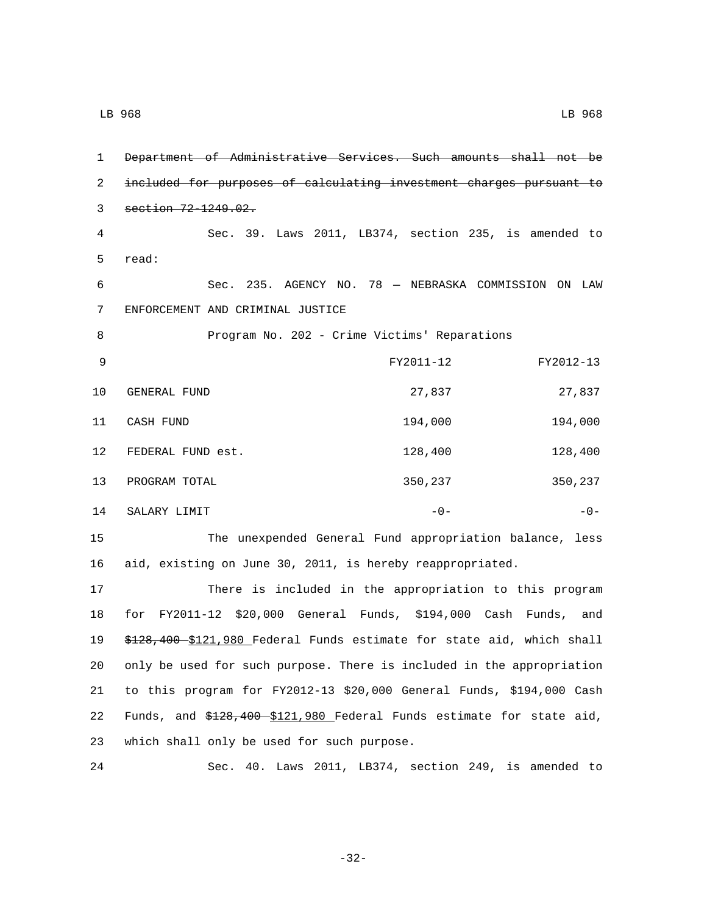1 Department of Administrative Services. Such amounts shall not be 2 included for purposes of calculating investment charges pursuant to 3 section 72-1249.02. 4 Sec. 39. Laws 2011, LB374, section 235, is amended to 5 read: 6 Sec. 235. AGENCY NO. 78 — NEBRASKA COMMISSION ON LAW ENFORCEMENT AND CRIMINAL JUSTICE7 8 Program No. 202 - Crime Victims' Reparations 9 FY2011-12 FY2012-13 10 GENERAL FUND 27,837 27,837 11 CASH FUND 194,000 194,000 12 FEDERAL FUND est. 128,400 128,400 13 PROGRAM TOTAL 2008 2009 2009 2010 350,237 350,237 350,237 14 SALARY LIMIT  $-0 -0-$ 15 The unexpended General Fund appropriation balance, less 16 aid, existing on June 30, 2011, is hereby reappropriated. 17 There is included in the appropriation to this program 18 for FY2011-12 \$20,000 General Funds, \$194,000 Cash Funds, and

19 \$128,400 \$121,980 Federal Funds estimate for state aid, which shall 20 only be used for such purpose. There is included in the appropriation 21 to this program for FY2012-13 \$20,000 General Funds, \$194,000 Cash 22 Funds, and \$128,400 \$121,980 Federal Funds estimate for state aid, 23 which shall only be used for such purpose.

24 Sec. 40. Laws 2011, LB374, section 249, is amended to

-32-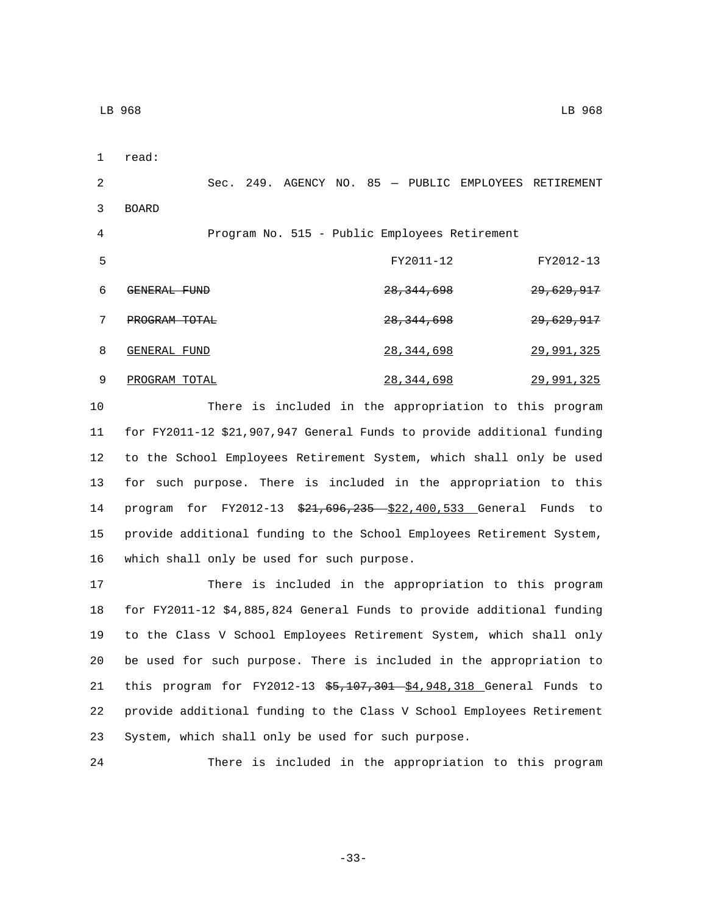1 read:

2 Sec. 249. AGENCY NO. 85 — PUBLIC EMPLOYEES RETIREMENT 3 BOARD 4 Program No. 515 - Public Employees Retirement 5 FY2011-12 FY2012-13 6 GENERAL FUND 28,344,698 29,629,917 PROGRAM TOTAL 28,344,698 29,629,917 8 GENERAL FUND 28,344,698 29,991,325

9 PROGRAM TOTAL 28,344,698 29,991,325

 There is included in the appropriation to this program for FY2011-12 \$21,907,947 General Funds to provide additional funding to the School Employees Retirement System, which shall only be used for such purpose. There is included in the appropriation to this 14 program for FY2012-13 \$21,696,235 \$22,400,533 General Funds to provide additional funding to the School Employees Retirement System, 16 which shall only be used for such purpose.

 There is included in the appropriation to this program for FY2011-12 \$4,885,824 General Funds to provide additional funding to the Class V School Employees Retirement System, which shall only be used for such purpose. There is included in the appropriation to 21 this program for FY2012-13 \$5,107,301 \$4,948,318 General Funds to provide additional funding to the Class V School Employees Retirement System, which shall only be used for such purpose.

24 There is included in the appropriation to this program

-33-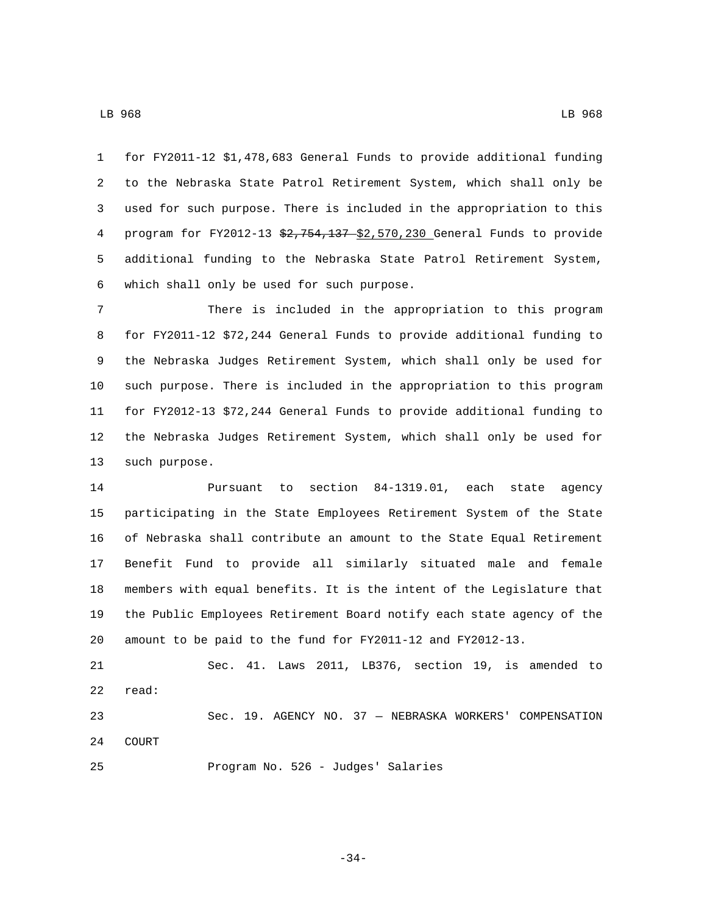for FY2011-12 \$1,478,683 General Funds to provide additional funding to the Nebraska State Patrol Retirement System, which shall only be used for such purpose. There is included in the appropriation to this 4 program for FY2012-13 \$2,754,137 \$2,570,230 General Funds to provide additional funding to the Nebraska State Patrol Retirement System, 6 which shall only be used for such purpose.

 There is included in the appropriation to this program for FY2011-12 \$72,244 General Funds to provide additional funding to the Nebraska Judges Retirement System, which shall only be used for such purpose. There is included in the appropriation to this program for FY2012-13 \$72,244 General Funds to provide additional funding to the Nebraska Judges Retirement System, which shall only be used for 13 such purpose.

 Pursuant to section 84-1319.01, each state agency participating in the State Employees Retirement System of the State of Nebraska shall contribute an amount to the State Equal Retirement Benefit Fund to provide all similarly situated male and female members with equal benefits. It is the intent of the Legislature that the Public Employees Retirement Board notify each state agency of the amount to be paid to the fund for FY2011-12 and FY2012-13.

 Sec. 41. Laws 2011, LB376, section 19, is amended to 22 read: Sec. 19. AGENCY NO. 37 — NEBRASKA WORKERS' COMPENSATION 24 COURT

25 Program No. 526 - Judges' Salaries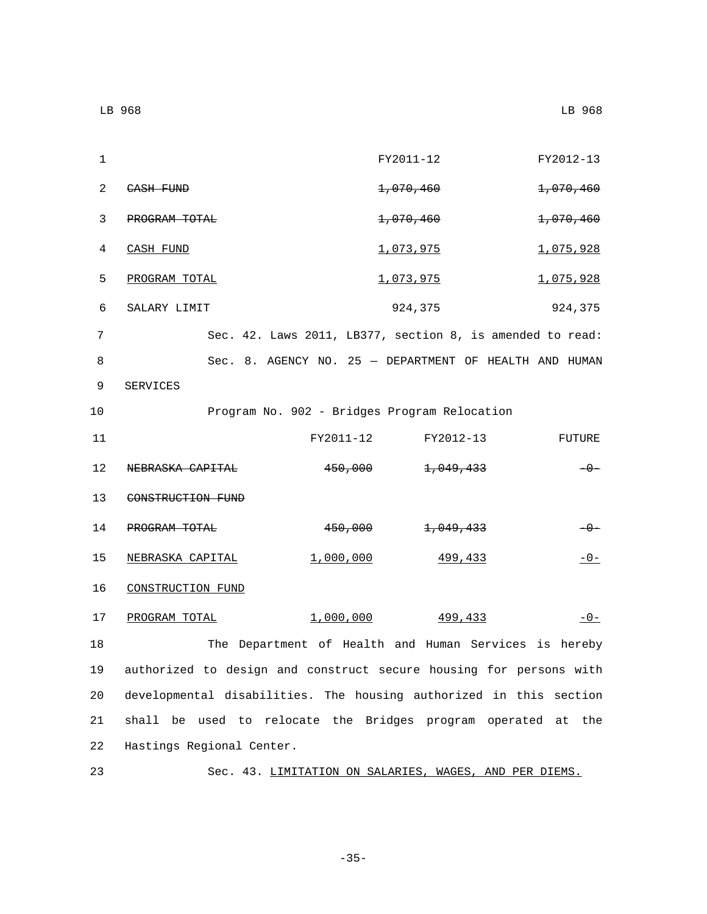| 1              |                                                                    |                    | FY2011-12                                                 | FY2012-13 |
|----------------|--------------------------------------------------------------------|--------------------|-----------------------------------------------------------|-----------|
| $\overline{a}$ | <del>CASH FUND</del>                                               |                    | 1,070,460                                                 | 1,070,460 |
| 3              | PROGRAM TOTAL                                                      |                    | 1,070,460                                                 | 1,070,460 |
| 4              | CASH FUND                                                          |                    | 1,073,975                                                 | 1,075,928 |
| 5              | PROGRAM TOTAL                                                      |                    | 1,073,975                                                 | 1,075,928 |
| 6              | SALARY LIMIT                                                       |                    | 924,375                                                   | 924,375   |
| 7              |                                                                    |                    | Sec. 42. Laws 2011, LB377, section 8, is amended to read: |           |
| 8              |                                                                    |                    | Sec. 8. AGENCY NO. 25 - DEPARTMENT OF HEALTH AND HUMAN    |           |
| 9              | SERVICES                                                           |                    |                                                           |           |
| 10             |                                                                    |                    | Program No. 902 - Bridges Program Relocation              |           |
| 11             |                                                                    | FY2011-12          | FY2012-13                                                 | FUTURE    |
| 12             | NEBRASKA CAPITAL                                                   | <del>450,000</del> | 1,049,433                                                 | $-0-$     |
| 13             | CONSTRUCTION FUND                                                  |                    |                                                           |           |
| 14             | PROGRAM TOTAL                                                      | <del>450,000</del> | <del>1,049,433</del>                                      | $-0-$     |
| 15             | NEBRASKA CAPITAL                                                   | 1,000,000          | 499,433                                                   | $-0-$     |
| 16             | CONSTRUCTION FUND                                                  |                    |                                                           |           |
| 17             | PROGRAM TOTAL                                                      | 1,000,000          | 499,433                                                   | $-0-$     |
| 18             |                                                                    |                    | The Department of Health and Human Services is hereby     |           |
| 19             | authorized to design and construct secure housing for persons with |                    |                                                           |           |
| 20             | developmental disabilities. The housing authorized in this section |                    |                                                           |           |
| 21             | shall be used to relocate the Bridges program operated at          |                    |                                                           | the       |

23 Sec. 43. LIMITATION ON SALARIES, WAGES, AND PER DIEMS.

22 Hastings Regional Center.

-35-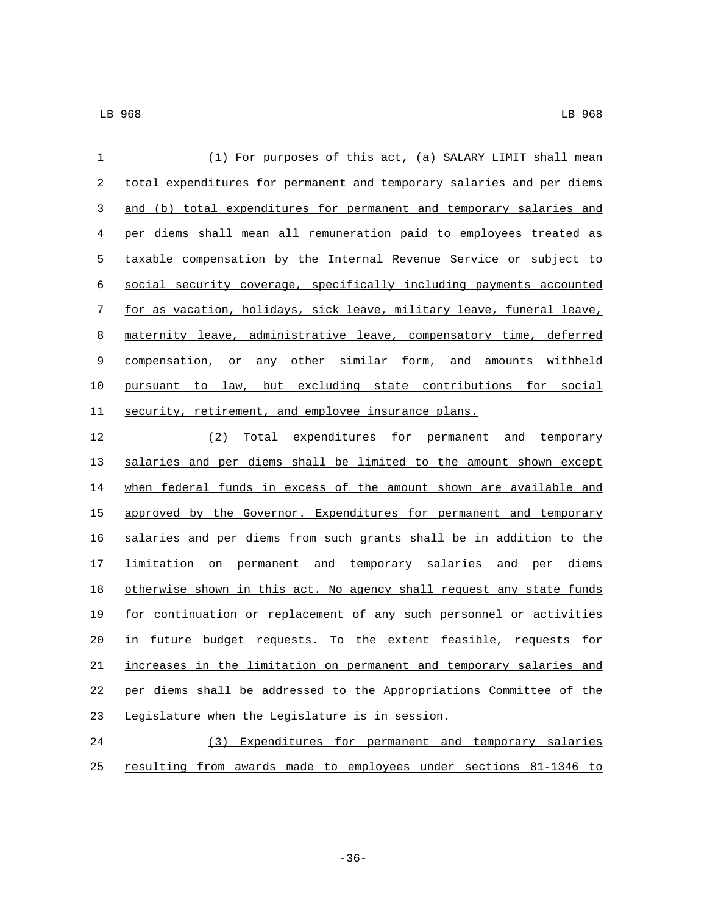| 1  | (1) For purposes of this act, (a) SALARY LIMIT shall mean             |
|----|-----------------------------------------------------------------------|
| 2  | total expenditures for permanent and temporary salaries and per diems |
| 3  | and (b) total expenditures for permanent and temporary salaries and   |
| 4  | per diems shall mean all remuneration paid to employees treated as    |
| 5  | taxable compensation by the Internal Revenue Service or subject to    |
| 6  | social security coverage, specifically including payments accounted   |
| 7  | for as vacation, holidays, sick leave, military leave, funeral leave, |
| 8  | maternity leave, administrative leave, compensatory time, deferred    |
| 9  | compensation, or any other similar form, and amounts withheld         |
| 10 | pursuant to law, but excluding state contributions for social         |
| 11 | security, retirement, and employee insurance plans.                   |
| 12 | (2) Total expenditures for permanent and temporary                    |
| 13 | salaries and per diems shall be limited to the amount shown except    |
| 14 | when federal funds in excess of the amount shown are available and    |
| 15 | approved by the Governor. Expenditures for permanent and temporary    |
| 16 | salaries and per diems from such grants shall be in addition to the   |
| 17 | limitation on permanent and temporary salaries and per diems          |
| 18 | otherwise shown in this act. No agency shall request any state funds  |
| 19 | for continuation or replacement of any such personnel or activities   |
| 20 | in future budget requests. To the extent feasible, requests for       |
| 21 | increases in the limitation on permanent and temporary salaries and   |
| 22 | per diems shall be addressed to the Appropriations Committee of the   |
| 23 | Legislature when the Legislature is in session.                       |
| 24 | (3) Expenditures for permanent and temporary salaries                 |
| 25 | resulting from awards made to employees under sections 81-1346 to     |